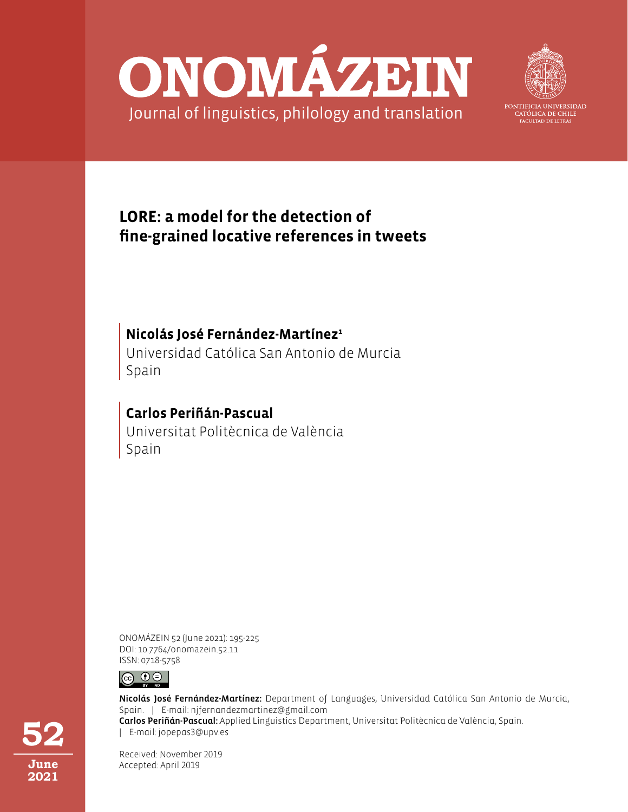



PONTIFICIA UNIVERSIDAD CATÓLICA DE CHILE **FACULTAD DE LETRAS** 

# **LORE: a model for the detection of fine-grained locative references in tweets**

# **Nicolás José Fernández-Martínez<sup>1</sup>**

Universidad Católica San Antonio de Murcia Spain

# Universitat Politècnica de València Spain **Carlos Periñán-Pascual**

ONOMÁZEIN 52 (June 2021): 195-225 DOI: 10.7764/onomazein.52.11 ISSN: 0718-5758



Nicolás José Fernández-Martínez: Department of Languages, Universidad Católica San Antonio de Murcia, Spain. | E-mail: njfernandezmartinez@gmail.com Carlos Periñán-Pascual: Applied Linguistics Department, Universitat Politècnica de València, Spain. | E-mail: jopepas3@upv.es

Received: November 2019 Accepted: April 2019

**52 June 2021**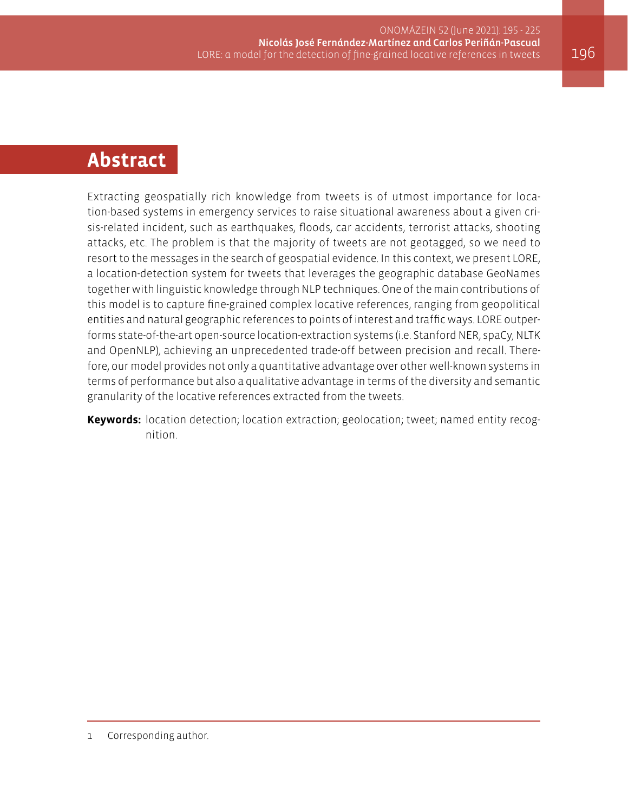# **Abstract**

Extracting geospatially rich knowledge from tweets is of utmost importance for location-based systems in emergency services to raise situational awareness about a given crisis-related incident, such as earthquakes, floods, car accidents, terrorist attacks, shooting attacks, etc. The problem is that the majority of tweets are not geotagged, so we need to resort to the messages in the search of geospatial evidence. In this context, we present LORE, a location-detection system for tweets that leverages the geographic database GeoNames together with linguistic knowledge through NLP techniques. One of the main contributions of this model is to capture fine-grained complex locative references, ranging from geopolitical entities and natural geographic references to points of interest and traffic ways. LORE outperforms state-of-the-art open-source location-extraction systems (i.e. Stanford NER, spaCy, NLTK and OpenNLP), achieving an unprecedented trade-off between precision and recall. Therefore, our model provides not only a quantitative advantage over other well-known systems in terms of performance but also a qualitative advantage in terms of the diversity and semantic granularity of the locative references extracted from the tweets.

**Keywords:** location detection; location extraction; geolocation; tweet; named entity recognition.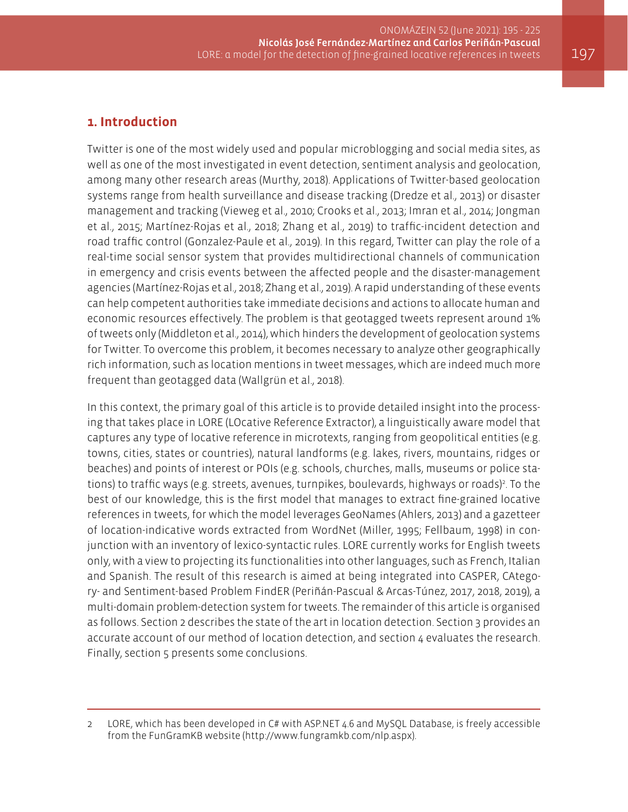# **1. Introduction**

Twitter is one of the most widely used and popular microblogging and social media sites, as well as one of the most investigated in event detection, sentiment analysis and geolocation, among many other research areas (Murthy, 2018). Applications of Twitter-based geolocation systems range from health surveillance and disease tracking (Dredze et al., 2013) or disaster management and tracking (Vieweg et al., 2010; Crooks et al., 2013; Imran et al., 2014; Jongman et al., 2015; Martínez-Rojas et al., 2018; Zhang et al., 2019) to traffic-incident detection and road traffic control (Gonzalez-Paule et al., 2019). In this regard, Twitter can play the role of a real-time social sensor system that provides multidirectional channels of communication in emergency and crisis events between the affected people and the disaster-management agencies (Martínez-Rojas et al., 2018; Zhang et al., 2019). A rapid understanding of these events can help competent authorities take immediate decisions and actions to allocate human and economic resources effectively. The problem is that geotagged tweets represent around 1% of tweets only (Middleton et al., 2014), which hinders the development of geolocation systems for Twitter. To overcome this problem, it becomes necessary to analyze other geographically rich information, such as location mentions in tweet messages, which are indeed much more frequent than geotagged data (Wallgrün et al., 2018).

In this context, the primary goal of this article is to provide detailed insight into the processing that takes place in LORE (LOcative Reference Extractor), a linguistically aware model that captures any type of locative reference in microtexts, ranging from geopolitical entities (e.g. towns, cities, states or countries), natural landforms (e.g. lakes, rivers, mountains, ridges or beaches) and points of interest or POIs (e.g. schools, churches, malls, museums or police stations) to traffic ways (e.g. streets, avenues, turnpikes, boulevards, highways or roads)<sup>2</sup>. To the best of our knowledge, this is the first model that manages to extract fine-grained locative references in tweets, for which the model leverages GeoNames (Ahlers, 2013) and a gazetteer of location-indicative words extracted from WordNet (Miller, 1995; Fellbaum, 1998) in conjunction with an inventory of lexico-syntactic rules. LORE currently works for English tweets only, with a view to projecting its functionalities into other languages, such as French, Italian and Spanish. The result of this research is aimed at being integrated into CASPER, CAtegory- and Sentiment-based Problem FindER (Periñán-Pascual & Arcas-Túnez, 2017, 2018, 2019), a multi-domain problem-detection system for tweets. The remainder of this article is organised as follows. Section 2 describes the state of the art in location detection. Section 3 provides an accurate account of our method of location detection, and section 4 evaluates the research. Finally, section 5 presents some conclusions.

<sup>2</sup> LORE, which has been developed in C# with ASP.NET 4.6 and MySQL Database, is freely accessible from the FunGramKB website ([http://www.fungramkb.com/nlp.aspx\)](http://www.fungramkb.com/nlp.aspx).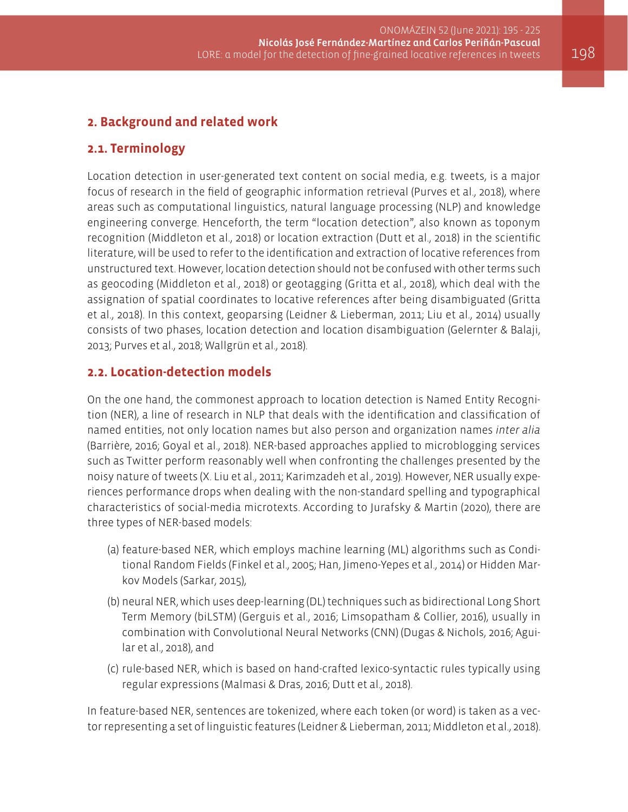# **2. Background and related work**

### **2.1. Terminology**

Location detection in user-generated text content on social media, e.g. tweets, is a major focus of research in the field of geographic information retrieval (Purves et al., 2018), where areas such as computational linguistics, natural language processing (NLP) and knowledge engineering converge. Henceforth, the term "location detection", also known as toponym recognition (Middleton et al., 2018) or location extraction (Dutt et al., 2018) in the scientific literature, will be used to refer to the identification and extraction of locative references from unstructured text. However, location detection should not be confused with other terms such as geocoding (Middleton et al., 2018) or geotagging (Gritta et al., 2018), which deal with the assignation of spatial coordinates to locative references after being disambiguated (Gritta et al., 2018). In this context, geoparsing (Leidner & Lieberman, 2011; Liu et al., 2014) usually consists of two phases, location detection and location disambiguation (Gelernter & Balaji, 2013; Purves et al., 2018; Wallgrün et al., 2018).

### **2.2. Location-detection models**

On the one hand, the commonest approach to location detection is Named Entity Recognition (NER), a line of research in NLP that deals with the identification and classification of named entities, not only location names but also person and organization names *inter alia* (Barrière, 2016; Goyal et al., 2018). NER-based approaches applied to microblogging services such as Twitter perform reasonably well when confronting the challenges presented by the noisy nature of tweets (X. Liu et al., 2011; Karimzadeh et al., 2019). However, NER usually experiences performance drops when dealing with the non-standard spelling and typographical characteristics of social-media microtexts. According to Jurafsky & Martin (2020), there are three types of NER-based models:

- (a) feature-based NER, which employs machine learning (ML) algorithms such as Conditional Random Fields (Finkel et al., 2005; Han, Jimeno-Yepes et al., 2014) or Hidden Markov Models (Sarkar, 2015),
- (b) neural NER, which uses deep-learning (DL) techniques such as bidirectional Long Short Term Memory (biLSTM) (Gerguis et al., 2016; Limsopatham & Collier, 2016), usually in combination with Convolutional Neural Networks (CNN) (Dugas & Nichols, 2016; Aguilar et al., 2018), and
- (c) rule-based NER, which is based on hand-crafted lexico-syntactic rules typically using regular expressions (Malmasi & Dras, 2016; Dutt et al., 2018).

In feature-based NER, sentences are tokenized, where each token (or word) is taken as a vector representing a set of linguistic features (Leidner & Lieberman, 2011; Middleton et al., 2018).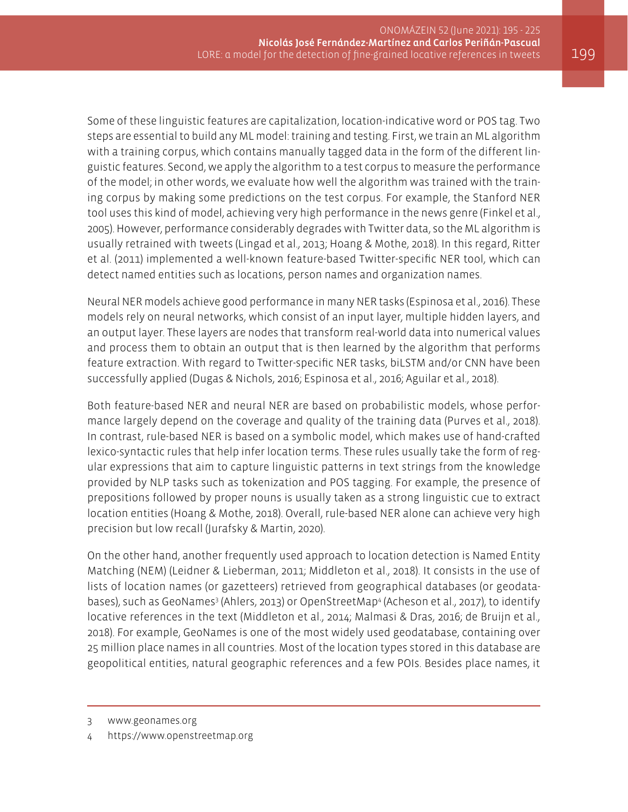Some of these linguistic features are capitalization, location-indicative word or POS tag. Two steps are essential to build any ML model: training and testing. First, we train an ML algorithm with a training corpus, which contains manually tagged data in the form of the different linguistic features. Second, we apply the algorithm to a test corpus to measure the performance of the model; in other words, we evaluate how well the algorithm was trained with the training corpus by making some predictions on the test corpus. For example, the Stanford NER tool uses this kind of model, achieving very high performance in the news genre (Finkel et al., 2005). However, performance considerably degrades with Twitter data, so the ML algorithm is usually retrained with tweets (Lingad et al., 2013; Hoang & Mothe, 2018). In this regard, Ritter et al. (2011) implemented a well-known feature-based Twitter-specific NER tool, which can detect named entities such as locations, person names and organization names.

Neural NER models achieve good performance in many NER tasks (Espinosa et al., 2016). These models rely on neural networks, which consist of an input layer, multiple hidden layers, and an output layer. These layers are nodes that transform real-world data into numerical values and process them to obtain an output that is then learned by the algorithm that performs feature extraction. With regard to Twitter-specific NER tasks, biLSTM and/or CNN have been successfully applied (Dugas & Nichols, 2016; Espinosa et al., 2016; Aguilar et al., 2018).

Both feature-based NER and neural NER are based on probabilistic models, whose performance largely depend on the coverage and quality of the training data (Purves et al., 2018). In contrast, rule-based NER is based on a symbolic model, which makes use of hand-crafted lexico-syntactic rules that help infer location terms. These rules usually take the form of regular expressions that aim to capture linguistic patterns in text strings from the knowledge provided by NLP tasks such as tokenization and POS tagging. For example, the presence of prepositions followed by proper nouns is usually taken as a strong linguistic cue to extract location entities (Hoang & Mothe, 2018). Overall, rule-based NER alone can achieve very high precision but low recall (Jurafsky & Martin, 2020).

On the other hand, another frequently used approach to location detection is Named Entity Matching (NEM) (Leidner & Lieberman, 2011; Middleton et al., 2018). It consists in the use of lists of location names (or gazetteers) retrieved from geographical databases (or geodatabases), such as GeoNames<sup>3</sup> (Ahlers, 2013) or OpenStreetMap<sup>4</sup> (Acheson et al., 2017), to identify locative references in the text (Middleton et al., 2014; Malmasi & Dras, 2016; de Bruijn et al., 2018). For example, GeoNames is one of the most widely used geodatabase, containing over 25 million place names in all countries. Most of the location types stored in this database are geopolitical entities, natural geographic references and a few POIs. Besides place names, it

<sup>3</sup> [www.geonames.org](http://www.geonames.org)

<sup>4</sup> <https://www.openstreetmap.org>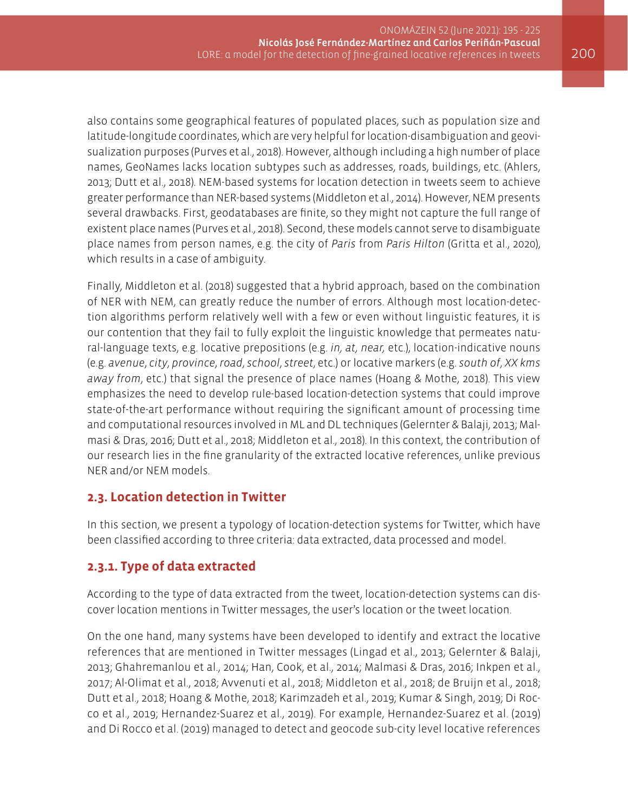also contains some geographical features of populated places, such as population size and latitude-longitude coordinates, which are very helpful for location-disambiguation and geovisualization purposes (Purves et al., 2018). However, although including a high number of place names, GeoNames lacks location subtypes such as addresses, roads, buildings, etc. (Ahlers, 2013; Dutt et al., 2018). NEM-based systems for location detection in tweets seem to achieve greater performance than NER-based systems (Middleton et al., 2014). However, NEM presents several drawbacks. First, geodatabases are finite, so they might not capture the full range of existent place names (Purves et al., 2018). Second, these models cannot serve to disambiguate place names from person names, e.g. the city of *Paris* from *Paris Hilton* (Gritta et al., 2020), which results in a case of ambiguity.

Finally, Middleton et al. (2018) suggested that a hybrid approach, based on the combination of NER with NEM, can greatly reduce the number of errors. Although most location-detection algorithms perform relatively well with a few or even without linguistic features, it is our contention that they fail to fully exploit the linguistic knowledge that permeates natural-language texts, e.g. locative prepositions (e.g. *in, at, near,* etc.), location-indicative nouns (e.g. *avenue*, *city*, *province*, *road*, *school*, *street*, etc.) or locative markers (e.g. *south of*, *XX kms away from*, etc.) that signal the presence of place names (Hoang & Mothe, 2018). This view emphasizes the need to develop rule-based location-detection systems that could improve state-of-the-art performance without requiring the significant amount of processing time and computational resources involved in ML and DL techniques (Gelernter & Balaji, 2013; Malmasi & Dras, 2016; Dutt et al., 2018; Middleton et al., 2018). In this context, the contribution of our research lies in the fine granularity of the extracted locative references, unlike previous NER and/or NEM models.

### **2.3. Location detection in Twitter**

In this section, we present a typology of location-detection systems for Twitter, which have been classified according to three criteria: data extracted, data processed and model.

# **2.3.1. Type of data extracted**

According to the type of data extracted from the tweet, location-detection systems can discover location mentions in Twitter messages, the user's location or the tweet location.

On the one hand, many systems have been developed to identify and extract the locative references that are mentioned in Twitter messages (Lingad et al., 2013; Gelernter & Balaji, 2013; Ghahremanlou et al., 2014; Han, Cook, et al., 2014; Malmasi & Dras, 2016; Inkpen et al., 2017; Al-Olimat et al., 2018; Avvenuti et al., 2018; Middleton et al., 2018; de Bruijn et al., 2018; Dutt et al., 2018; Hoang & Mothe, 2018; Karimzadeh et al., 2019; Kumar & Singh, 2019; Di Rocco et al., 2019; Hernandez-Suarez et al., 2019). For example, Hernandez-Suarez et al. (2019) and Di Rocco et al. (2019) managed to detect and geocode sub-city level locative references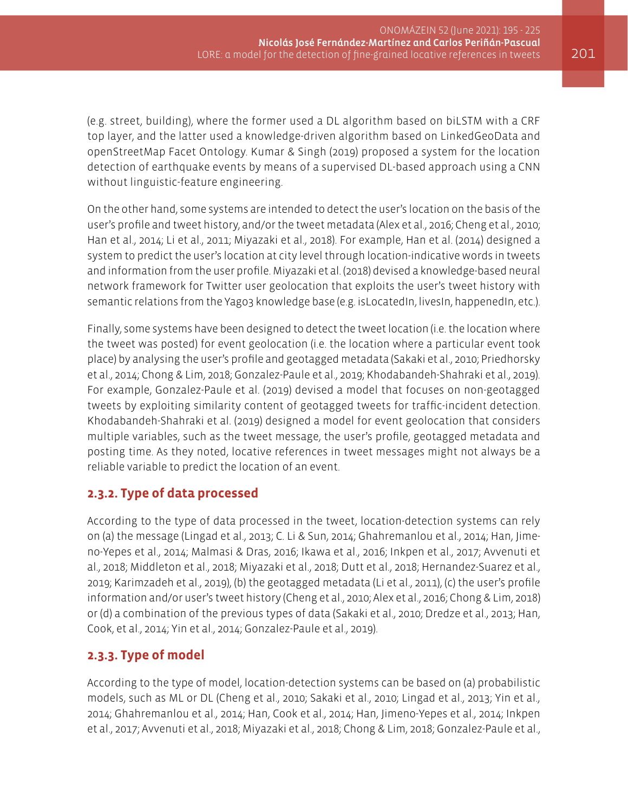(e.g. street, building), where the former used a DL algorithm based on biLSTM with a CRF top layer, and the latter used a knowledge-driven algorithm based on LinkedGeoData and openStreetMap Facet Ontology. Kumar & Singh (2019) proposed a system for the location detection of earthquake events by means of a supervised DL-based approach using a CNN without linguistic-feature engineering.

On the other hand, some systems are intended to detect the user's location on the basis of the user's profile and tweet history, and/or the tweet metadata (Alex et al., 2016; Cheng et al., 2010; Han et al., 2014; Li et al., 2011; Miyazaki et al., 2018). For example, Han et al. (2014) designed a system to predict the user's location at city level through location-indicative words in tweets and information from the user profile. Miyazaki et al. (2018) devised a knowledge-based neural network framework for Twitter user geolocation that exploits the user's tweet history with semantic relations from the Yago3 knowledge base (e.g. isLocatedIn, livesIn, happenedIn, etc.).

Finally, some systems have been designed to detect the tweet location (i.e. the location where the tweet was posted) for event geolocation (i.e. the location where a particular event took place) by analysing the user's profile and geotagged metadata (Sakaki et al., 2010; Priedhorsky et al., 2014; Chong & Lim, 2018; Gonzalez-Paule et al., 2019; Khodabandeh-Shahraki et al., 2019). For example, Gonzalez-Paule et al. (2019) devised a model that focuses on non-geotagged tweets by exploiting similarity content of geotagged tweets for traffic-incident detection. Khodabandeh-Shahraki et al. (2019) designed a model for event geolocation that considers multiple variables, such as the tweet message, the user's profile, geotagged metadata and posting time. As they noted, locative references in tweet messages might not always be a reliable variable to predict the location of an event.

### **2.3.2. Type of data processed**

According to the type of data processed in the tweet, location-detection systems can rely on (a) the message (Lingad et al., 2013; C. Li & Sun, 2014; Ghahremanlou et al., 2014; Han, Jimeno-Yepes et al., 2014; Malmasi & Dras, 2016; Ikawa et al., 2016; Inkpen et al., 2017; Avvenuti et al., 2018; Middleton et al., 2018; Miyazaki et al., 2018; Dutt et al., 2018; Hernandez-Suarez et al., 2019; Karimzadeh et al., 2019), (b) the geotagged metadata (Li et al., 2011), (c) the user's profile information and/or user's tweet history (Cheng et al., 2010; Alex et al., 2016; Chong & Lim, 2018) or (d) a combination of the previous types of data (Sakaki et al., 2010; Dredze et al., 2013; Han, Cook, et al., 2014; Yin et al., 2014; Gonzalez-Paule et al., 2019).

# **2.3.3. Type of model**

According to the type of model, location-detection systems can be based on (a) probabilistic models, such as ML or DL (Cheng et al., 2010; Sakaki et al., 2010; Lingad et al., 2013; Yin et al., 2014; Ghahremanlou et al., 2014; Han, Cook et al., 2014; Han, Jimeno-Yepes et al., 2014; Inkpen et al., 2017; Avvenuti et al., 2018; Miyazaki et al., 2018; Chong & Lim, 2018; Gonzalez-Paule et al.,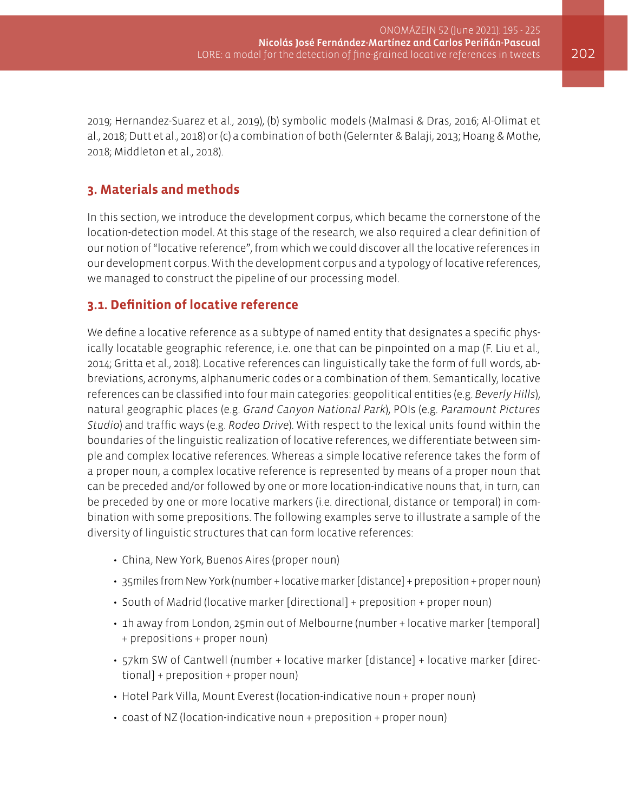2019; Hernandez-Suarez et al., 2019), (b) symbolic models (Malmasi & Dras, 2016; Al-Olimat et al., 2018; Dutt et al., 2018) or (c) a combination of both (Gelernter & Balaji, 2013; Hoang & Mothe, 2018; Middleton et al., 2018).

# **3. Materials and methods**

In this section, we introduce the development corpus, which became the cornerstone of the location-detection model. At this stage of the research, we also required a clear definition of our notion of "locative reference", from which we could discover all the locative references in our development corpus. With the development corpus and a typology of locative references, we managed to construct the pipeline of our processing model.

### **3.1. Definition of locative reference**

We define a locative reference as a subtype of named entity that designates a specific physically locatable geographic reference, i.e. one that can be pinpointed on a map (F. Liu et al., 2014; Gritta et al., 2018). Locative references can linguistically take the form of full words, abbreviations, acronyms, alphanumeric codes or a combination of them. Semantically, locative references can be classified into four main categories: geopolitical entities (e.g. *Beverly Hills*), natural geographic places (e.g. *Grand Canyon National Park*), POIs (e.g. *Paramount Pictures Studio*) and traffic ways (e.g. *Rodeo Drive*). With respect to the lexical units found within the boundaries of the linguistic realization of locative references, we differentiate between simple and complex locative references. Whereas a simple locative reference takes the form of a proper noun, a complex locative reference is represented by means of a proper noun that can be preceded and/or followed by one or more location-indicative nouns that, in turn, can be preceded by one or more locative markers (i.e. directional, distance or temporal) in combination with some prepositions. The following examples serve to illustrate a sample of the diversity of linguistic structures that can form locative references:

- China, New York, Buenos Aires (proper noun)
- 35miles from New York (number + locative marker [distance] + preposition + proper noun)
- South of Madrid (locative marker [directional] + preposition + proper noun)
- 1h away from London, 25min out of Melbourne (number + locative marker [temporal] + prepositions + proper noun)
- 57km SW of Cantwell (number + locative marker [distance] + locative marker [directional] + preposition + proper noun)
- Hotel Park Villa, Mount Everest (location-indicative noun + proper noun)
- coast of NZ (location-indicative noun + preposition + proper noun)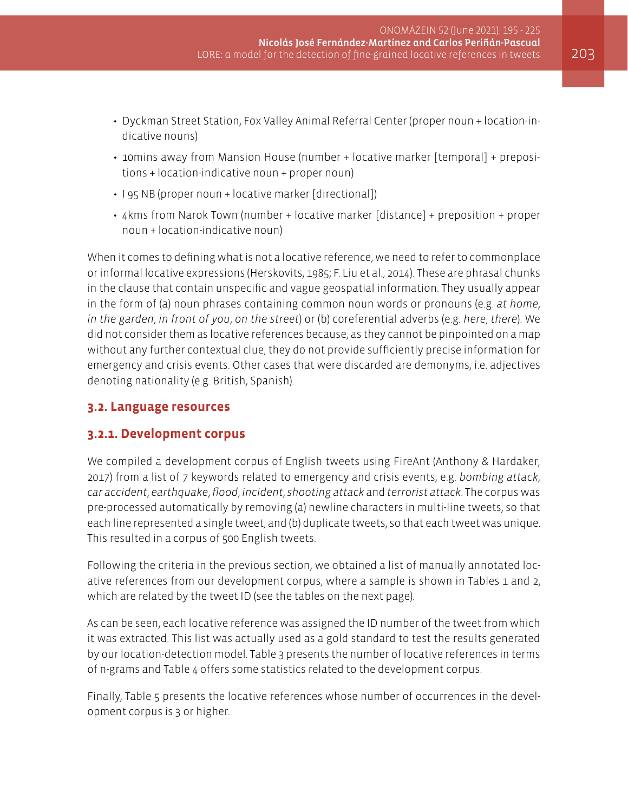- Dyckman Street Station, Fox Valley Animal Referral Center (proper noun + location-indicative nouns)
- 10mins away from Mansion House (number + locative marker [temporal] + prepositions + location-indicative noun + proper noun)
- I 95 NB (proper noun + locative marker [directional])
- 4kms from Narok Town (number + locative marker [distance] + preposition + proper noun + location-indicative noun)

When it comes to defining what is not a locative reference, we need to refer to commonplace or informal locative expressions (Herskovits, 1985; F. Liu et al., 2014). These are phrasal chunks in the clause that contain unspecific and vague geospatial information. They usually appear in the form of (a) noun phrases containing common noun words or pronouns (e.g. *at home*, *in the garden*, *in front of you*, *on the street*) or (b) coreferential adverbs (e.g. *here*, *there*). We did not consider them as locative references because, as they cannot be pinpointed on a map without any further contextual clue, they do not provide sufficiently precise information for emergency and crisis events. Other cases that were discarded are demonyms, i.e. adjectives denoting nationality (e.g. British, Spanish).

### **3.2. Language resources**

### **3.2.1. Development corpus**

We compiled a development corpus of English tweets using FireAnt (Anthony & Hardaker, 2017) from a list of 7 keywords related to emergency and crisis events, e.g. *bombing attack*, *car accident*, *earthquake*, *flood*, *incident*, *shooting attack* and *terrorist attack*. The corpus was pre-processed automatically by removing (a) newline characters in multi-line tweets, so that each line represented a single tweet, and (b) duplicate tweets, so that each tweet was unique. This resulted in a corpus of 500 English tweets.

Following the criteria in the previous section, we obtained a list of manually annotated locative references from our development corpus, where a sample is shown in Tables 1 and 2, which are related by the tweet ID (see the tables on the next page).

As can be seen, each locative reference was assigned the ID number of the tweet from which it was extracted. This list was actually used as a gold standard to test the results generated by our location-detection model. Table 3 presents the number of locative references in terms of n-grams and Table 4 offers some statistics related to the development corpus.

Finally, Table 5 presents the locative references whose number of occurrences in the development corpus is 3 or higher.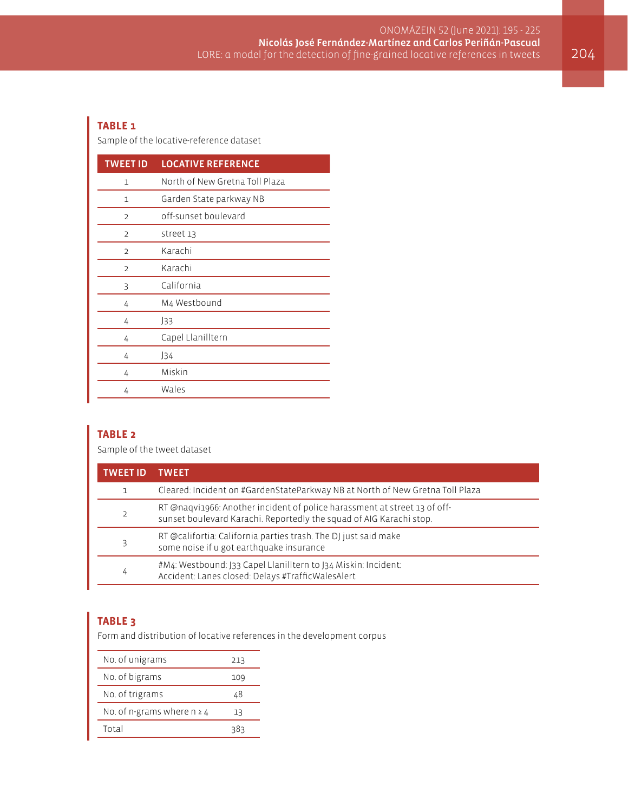#### **TABLE 1**

Sample of the locative-reference dataset

| <b>TWEET ID</b> | <b>LOCATIVE REFERENCE</b>      |
|-----------------|--------------------------------|
| 1               | North of New Gretna Toll Plaza |
| 1               | Garden State parkway NB        |
| $\overline{2}$  | off-sunset boulevard           |
| $\overline{2}$  | street 13                      |
| $\overline{2}$  | Karachi                        |
| $\mathcal{D}$   | Karachi                        |
| 3               | California                     |
| 4               | M4 Westbound                   |
| 4               | J33                            |
| 4               | Capel Llanilltern              |
| 4               | J34                            |
| 4               | Miskin                         |
| 4               | Wales                          |

#### **TABLE 2**

Sample of the tweet dataset

|   | TWFFT                                                                                                                                            |
|---|--------------------------------------------------------------------------------------------------------------------------------------------------|
|   | Cleared: Incident on #GardenStateParkway NB at North of New Gretna Toll Plaza                                                                    |
|   | RT @naqvi1966: Another incident of police harassment at street 13 of off-<br>sunset boulevard Karachi. Reportedly the squad of AIG Karachi stop. |
|   | RT @califortia: California parties trash. The DJ just said make<br>some noise if u got earthquake insurance                                      |
| 4 | #M4: Westbound: J33 Capel Llanilltern to J34 Miskin: Incident:<br>Accident: Lanes closed: Delays #TrafficWalesAlert                              |

#### **TABLE 3**

Form and distribution of locative references in the development corpus

| No. of unigrams                 | 213 |
|---------------------------------|-----|
| No. of bigrams                  | 109 |
| No. of trigrams                 | 48  |
| No. of n-grams where $n \geq 4$ | 13  |
| Total                           | 383 |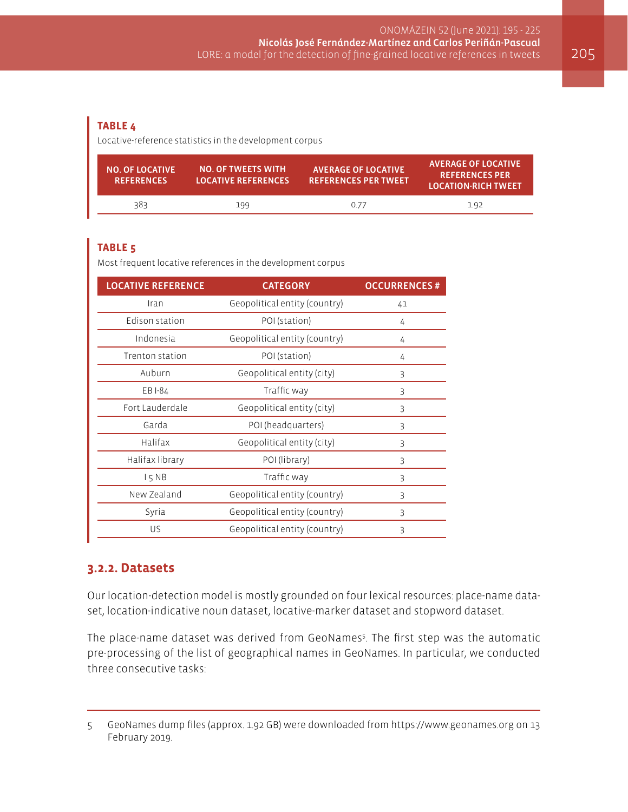#### **TABLE 4**

Locative-reference statistics in the development corpus

| <b>NO. OF LOCATIVE</b><br><b>REFERENCES</b> | <b>NO. OF TWEETS WITH</b><br><b>LOCATIVE REFERENCES</b> | <b>AVERAGE OF LOCATIVE</b><br><b>REFERENCES PER TWEET</b> | <b>AVERAGE OF LOCATIVE</b><br><b>REFERENCES PER</b><br><b>LOCATION-RICH TWEET</b> |
|---------------------------------------------|---------------------------------------------------------|-----------------------------------------------------------|-----------------------------------------------------------------------------------|
| 383                                         | 199                                                     | 0.77                                                      | 1.92                                                                              |

# **TABLE 5**

Most frequent locative references in the development corpus

| <b>LOCATIVE REFERENCE</b> | <b>CATEGORY</b>               | <b>OCCURRENCES#</b> |
|---------------------------|-------------------------------|---------------------|
| Iran                      | Geopolitical entity (country) | 41                  |
| Edison station            | POI (station)                 | 4                   |
| Indonesia                 | Geopolitical entity (country) | 4                   |
| Trenton station           | POI (station)                 | 4                   |
| Auburn                    | Geopolitical entity (city)    | 3                   |
| EB I-84                   | Traffic way                   | 3                   |
| Fort Lauderdale           | Geopolitical entity (city)    | 3                   |
| Garda                     | POI (headquarters)            | 3                   |
| Halifax                   | Geopolitical entity (city)    | 3                   |
| Halifax library           | POI (library)                 | 3                   |
| 15NB                      | Traffic way                   | 3                   |
| New Zealand               | Geopolitical entity (country) | 3                   |
| Syria                     | Geopolitical entity (country) | 3                   |
| US                        | Geopolitical entity (country) | 3                   |

#### **3.2.2. Datasets**

Our location-detection model is mostly grounded on four lexical resources: place-name dataset, location-indicative noun dataset, locative-marker dataset and stopword dataset.

The place-name dataset was derived from GeoNames<sup>5</sup>. The first step was the automatic pre-processing of the list of geographical names in GeoNames. In particular, we conducted three consecutive tasks:

<sup>5</sup> GeoNames dump files (approx. 1.92 GB) were downloaded from<https://www.geonames.org> on 13 February 2019.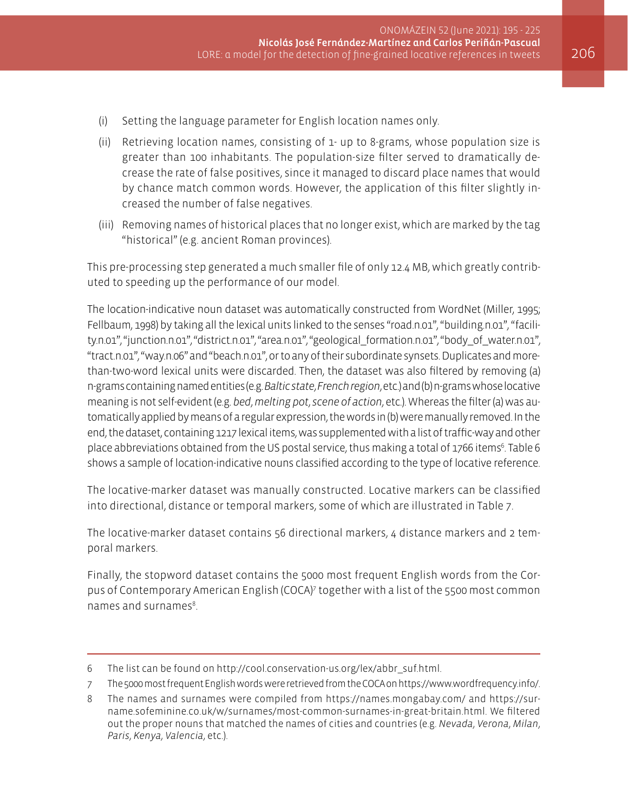- (i) Setting the language parameter for English location names only.
- (ii) Retrieving location names, consisting of 1- up to 8-grams, whose population size is greater than 100 inhabitants. The population-size filter served to dramatically decrease the rate of false positives, since it managed to discard place names that would by chance match common words. However, the application of this filter slightly increased the number of false negatives.
- (iii) Removing names of historical places that no longer exist, which are marked by the tag "historical" (e.g. ancient Roman provinces).

This pre-processing step generated a much smaller file of only 12.4 MB, which greatly contributed to speeding up the performance of our model.

The location-indicative noun dataset was automatically constructed from WordNet (Miller, 1995; Fellbaum, 1998) by taking all the lexical units linked to the senses "road.n.01", "building.n.01", "facility.n.01", "junction.n.01", "district.n.01", "area.n.01", "geological\_formation.n.01", "body\_of\_water.n.01", "tract.n.01", "way.n.06" and "beach.n.01", or to any of their subordinate synsets. Duplicates and morethan-two-word lexical units were discarded. Then, the dataset was also filtered by removing (a) n-grams containing named entities (e.g. *Baltic state*, *French region*, etc.) and (b) n-grams whose locative meaning is not self-evident (e.g. *bed*, *melting pot*, *scene of action*, etc.). Whereas the filter (a) was automatically applied by means of a regular expression, the words in (b) were manually removed. In the end, the dataset, containing 1217 lexical items, was supplemented with a list of traffic-way and other place abbreviations obtained from the US postal service, thus making a total of 1766 items<sup>6</sup>. Table 6 shows a sample of location-indicative nouns classified according to the type of locative reference.

The locative-marker dataset was manually constructed. Locative markers can be classified into directional, distance or temporal markers, some of which are illustrated in Table 7.

The locative-marker dataset contains 56 directional markers, 4 distance markers and 2 temporal markers.

Finally, the stopword dataset contains the 5000 most frequent English words from the Corpus of Contemporary American English (COCA)7 together with a list of the 5500 most common names and surnames<sup>8</sup>. .

<sup>6</sup> The list can be found on [http://cool.conservation-us.org/lex/abbr\\_suf.html.](http://cool.conservation-us.org/lex/abbr_suf.html)

<sup>7</sup> The 5000 most frequent English words were retrieved from the COCA on<https://www.wordfrequency.info/>.

<sup>8</sup> The names and surnames were compiled from <https://names.mongabay.com/> and [https://sur](https://surname.sofeminine.co.uk/w/surnames/most-common-surnames-in-great-britain.html)[name.sofeminine.co.uk/w/surnames/most-common-surnames-in-great-britain.html](https://surname.sofeminine.co.uk/w/surnames/most-common-surnames-in-great-britain.html). We filtered out the proper nouns that matched the names of cities and countries (e.g. *Nevada*, *Verona*, *Milan*, *Paris*, *Kenya*, *Valencia*, etc.).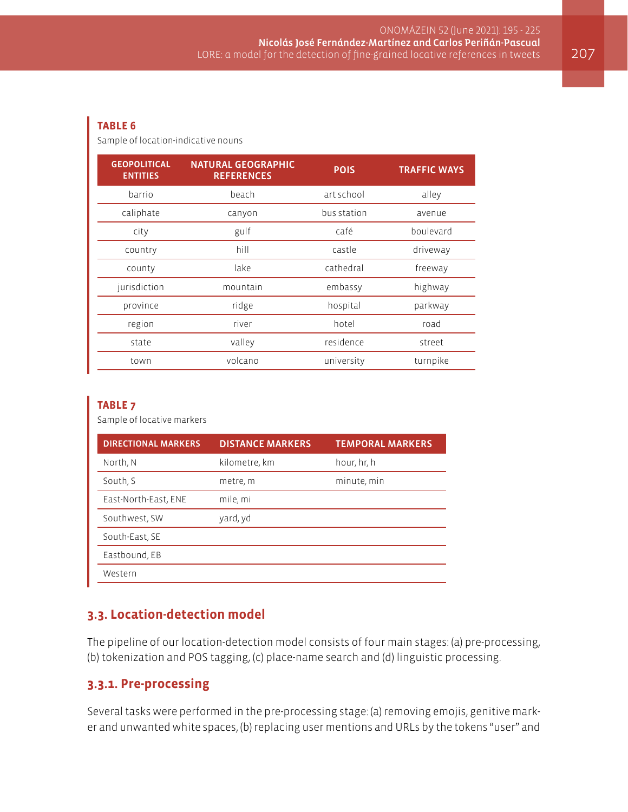#### **TABLE 6**

Sample of location-indicative nouns

| <b>GEOPOLITICAL</b><br><b>ENTITIES</b> | <b>NATURAL GEOGRAPHIC</b><br><b>REFERENCES</b> | <b>POIS</b> | <b>TRAFFIC WAYS</b> |
|----------------------------------------|------------------------------------------------|-------------|---------------------|
| barrio                                 | beach                                          | art school  | alley               |
| caliphate                              | canyon                                         | bus station | avenue              |
| city                                   | gulf                                           | café        | boulevard           |
| country                                | hill                                           | castle      | driveway            |
| county                                 | lake                                           | cathedral   | freeway             |
| jurisdiction                           | mountain                                       | embassy     | highway             |
| province                               | ridge                                          | hospital    | parkway             |
| region                                 | river                                          | hotel       | road                |
| state                                  | valley                                         | residence   | street              |
| town                                   | volcano                                        | university  | turnpike            |

#### **TABLE 7**

Sample of locative markers

| <b>DIRECTIONAL MARKERS</b> | <b>DISTANCE MARKERS</b> | <b>TEMPORAL MARKERS</b> |
|----------------------------|-------------------------|-------------------------|
| North, N                   | kilometre, km           | hour, hr, h             |
| South, S                   | metre, m                | minute, min             |
| East-North-East, ENE       | mile, mi                |                         |
| Southwest, SW              | yard, yd                |                         |
| South-East, SE             |                         |                         |
| Eastbound, EB              |                         |                         |
| Western                    |                         |                         |

### **3.3. Location-detection model**

The pipeline of our location-detection model consists of four main stages: (a) pre-processing, (b) tokenization and POS tagging, (c) place-name search and (d) linguistic processing.

# **3.3.1. Pre-processing**

Several tasks were performed in the pre-processing stage: (a) removing emojis, genitive marker and unwanted white spaces, (b) replacing user mentions and URLs by the tokens "user" and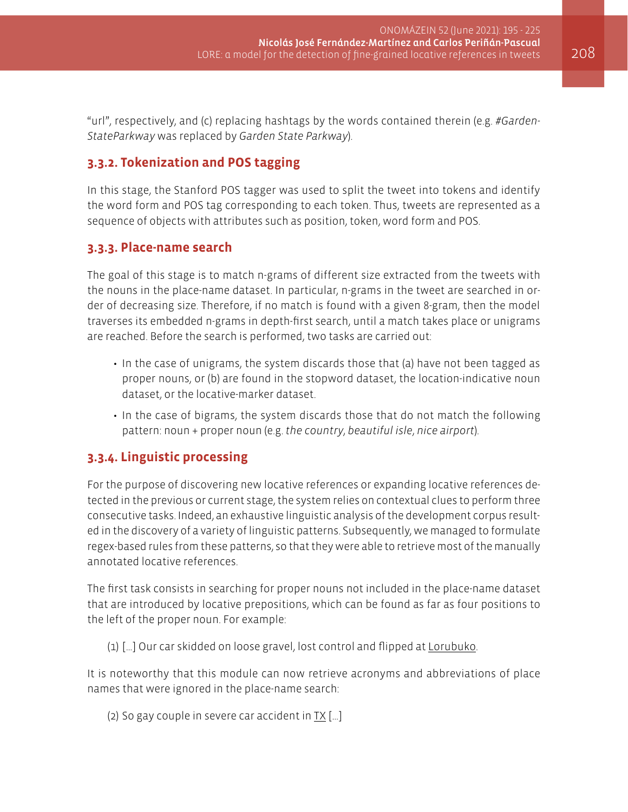"url", respectively, and (c) replacing hashtags by the words contained therein (e.g. *#Garden-StateParkway* was replaced by *Garden State Parkway*).

# **3.3.2. Tokenization and POS tagging**

In this stage, the Stanford POS tagger was used to split the tweet into tokens and identify the word form and POS tag corresponding to each token. Thus, tweets are represented as a sequence of objects with attributes such as position, token, word form and POS.

### **3.3.3. Place-name search**

The goal of this stage is to match n-grams of different size extracted from the tweets with the nouns in the place-name dataset. In particular, n-grams in the tweet are searched in order of decreasing size. Therefore, if no match is found with a given 8-gram, then the model traverses its embedded n-grams in depth-first search, until a match takes place or unigrams are reached. Before the search is performed, two tasks are carried out:

- In the case of unigrams, the system discards those that (a) have not been tagged as proper nouns, or (b) are found in the stopword dataset, the location-indicative noun dataset, or the locative-marker dataset.
- In the case of bigrams, the system discards those that do not match the following pattern: noun + proper noun (e.g. *the country*, *beautiful isle*, *nice airport*).

### **3.3.4. Linguistic processing**

For the purpose of discovering new locative references or expanding locative references detected in the previous or current stage, the system relies on contextual clues to perform three consecutive tasks. Indeed, an exhaustive linguistic analysis of the development corpus resulted in the discovery of a variety of linguistic patterns. Subsequently, we managed to formulate regex-based rules from these patterns, so that they were able to retrieve most of the manually annotated locative references.

The first task consists in searching for proper nouns not included in the place-name dataset that are introduced by locative prepositions, which can be found as far as four positions to the left of the proper noun. For example:

(1) […] Our car skidded on loose gravel, lost control and flipped at Lorubuko.

It is noteworthy that this module can now retrieve acronyms and abbreviations of place names that were ignored in the place-name search:

(2) So gay couple in severe car accident in  $IX$  [...]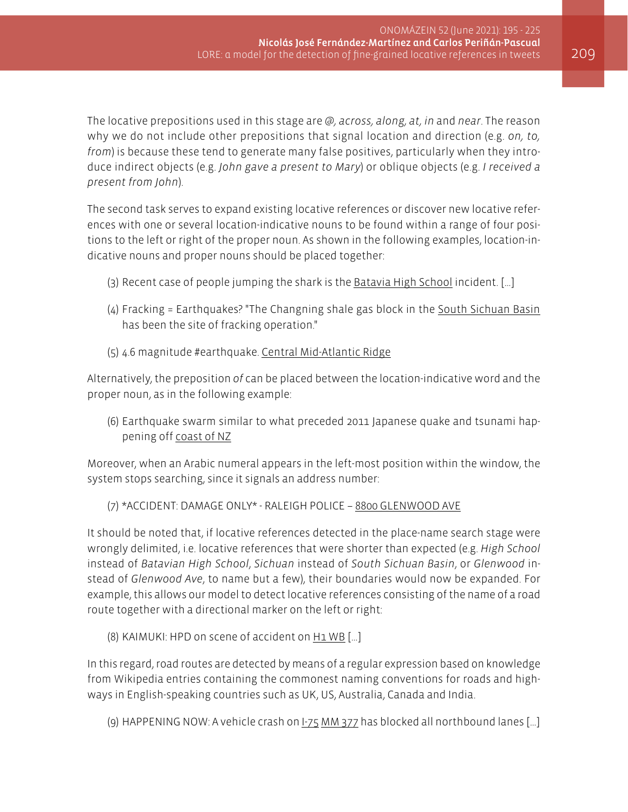The locative prepositions used in this stage are *@, across, along, at, in* and *near*. The reason why we do not include other prepositions that signal location and direction (e.g. *on, to, from*) is because these tend to generate many false positives, particularly when they introduce indirect objects (e.g. *John gave a present to Mary*) or oblique objects (e.g. *I received a present from John*).

The second task serves to expand existing locative references or discover new locative references with one or several location-indicative nouns to be found within a range of four positions to the left or right of the proper noun. As shown in the following examples, location-indicative nouns and proper nouns should be placed together:

- (3) Recent case of people jumping the shark is the Batavia High School incident. […]
- (4) Fracking = Earthquakes? "The Changning shale gas block in the South Sichuan Basin has been the site of fracking operation."
- (5) 4.6 magnitude #earthquake. Central Mid-Atlantic Ridge

Alternatively, the preposition *of* can be placed between the location-indicative word and the proper noun, as in the following example:

(6) Earthquake swarm similar to what preceded 2011 Japanese quake and tsunami happening off coast of NZ

Moreover, when an Arabic numeral appears in the left-most position within the window, the system stops searching, since it signals an address number:

#### (7) \*ACCIDENT: DAMAGE ONLY\* - RALEIGH POLICE – 8800 GLENWOOD AVE

It should be noted that, if locative references detected in the place-name search stage were wrongly delimited, i.e. locative references that were shorter than expected (e.g. *High School*  instead of *Batavian High School*, *Sichuan* instead of *South Sichuan Basin*, or *Glenwood* instead of *Glenwood Ave*, to name but a few), their boundaries would now be expanded. For example, this allows our model to detect locative references consisting of the name of a road route together with a directional marker on the left or right:

(8) KAIMUKI: HPD on scene of accident on H1 WB [...]

In this regard, road routes are detected by means of a regular expression based on knowledge from Wikipedia entries containing the commonest naming conventions for roads and highways in English-speaking countries such as UK, US, Australia, Canada and India.

(9) HAPPENING NOW: A vehicle crash on  $1-75$  MM 377 has blocked all northbound lanes [...]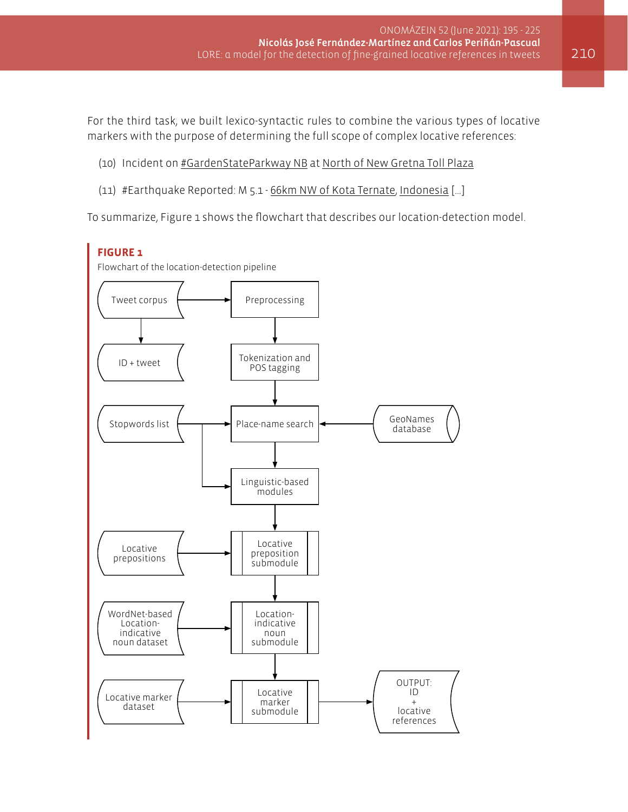For the third task, we built lexico-syntactic rules to combine the various types of locative markers with the purpose of determining the full scope of complex locative references:

- (10) Incident on #GardenStateParkway NB at North of New Gretna Toll Plaza
- (11) #Earthquake Reported: M 5.1 66km NW of Kota Ternate, Indonesia […]

To summarize, Figure 1 shows the flowchart that describes our location-detection model.

### **FIGURE 1**

Flowchart of the location-detection pipeline

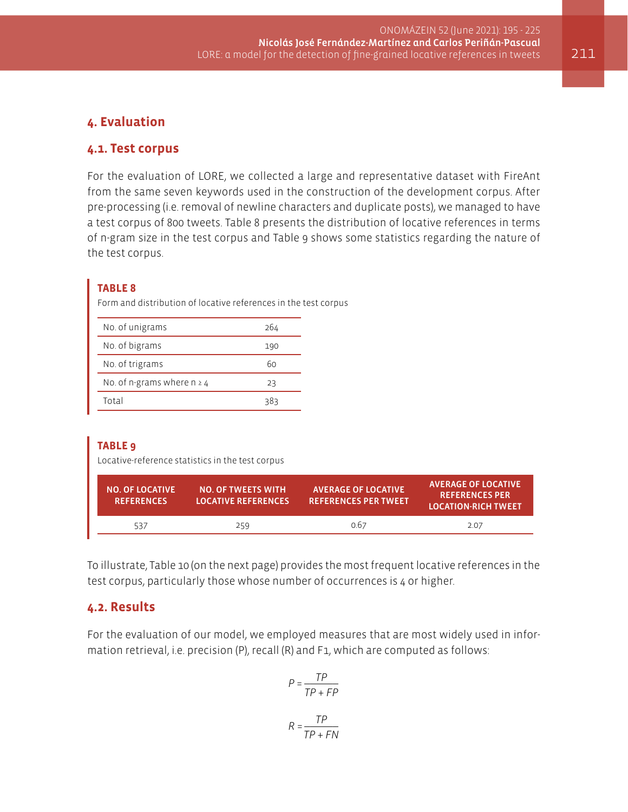# **4. Evaluation**

### **4.1. Test corpus**

For the evaluation of LORE, we collected a large and representative dataset with FireAnt from the same seven keywords used in the construction of the development corpus. After pre-processing (i.e. removal of newline characters and duplicate posts), we managed to have a test corpus of 800 tweets. Table 8 presents the distribution of locative references in terms of n-gram size in the test corpus and Table 9 shows some statistics regarding the nature of the test corpus.

#### **TABLE 8**

Form and distribution of locative references in the test corpus

| No. of unigrams                 | 264 |
|---------------------------------|-----|
| No. of bigrams                  | 190 |
| No. of trigrams                 | 60  |
| No. of n-grams where $n \geq 4$ | 23  |
| Total                           | 383 |

#### **TABLE 9**

Locative-reference statistics in the test corpus

| <b>NO. OF LOCATIVE</b><br><b>REFERENCES</b> | <b>NO. OF TWEETS WITH</b><br><b>LOCATIVE REFERENCES</b> | <b>AVERAGE OF LOCATIVE</b><br><b>REFERENCES PER TWEET</b> | <b>AVERAGE OF LOCATIVE</b><br><b>REFERENCES PER</b><br><b>LOCATION-RICH TWEET</b> |
|---------------------------------------------|---------------------------------------------------------|-----------------------------------------------------------|-----------------------------------------------------------------------------------|
| 537                                         | 259                                                     | 0.67                                                      | 2.07                                                                              |

To illustrate, Table 10 (on the next page) provides the most frequent locative references in the test corpus, particularly those whose number of occurrences is 4 or higher.

#### **4.2. Results**

For the evaluation of our model, we employed measures that are most widely used in information retrieval, i.e. precision (P), recall (R) and F1, which are computed as follows:

$$
P = \frac{TP}{TP + FP}
$$

$$
R = \frac{TP}{TP + FN}
$$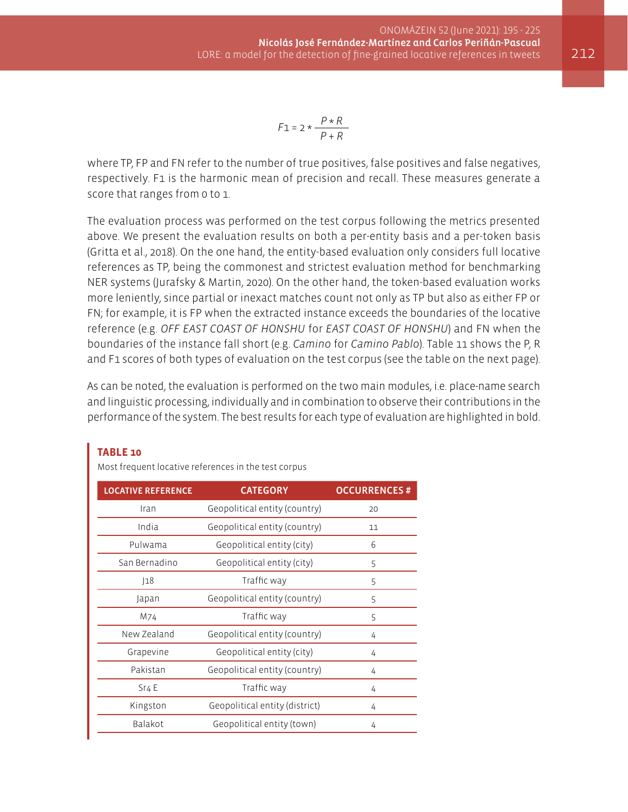$$
F1 = 2 * \frac{P * R}{P + R}
$$

where TP, FP and FN refer to the number of true positives, false positives and false negatives, respectively. F1 is the harmonic mean of precision and recall. These measures generate a score that ranges from 0 to 1.

The evaluation process was performed on the test corpus following the metrics presented above. We present the evaluation results on both a per-entity basis and a per-token basis (Gritta et al., 2018). On the one hand, the entity-based evaluation only considers full locative references as TP, being the commonest and strictest evaluation method for benchmarking NER systems (Jurafsky & Martin, 2020). On the other hand, the token-based evaluation works more leniently, since partial or inexact matches count not only as TP but also as either FP or FN; for example, it is FP when the extracted instance exceeds the boundaries of the locative reference (e.g. *OFF EAST COAST OF HONSHU* for *EAST COAST OF HONSHU*) and FN when the boundaries of the instance fall short (e.g. *Camino* for *Camino Pablo*). Table 11 shows the P, R and F1 scores of both types of evaluation on the test corpus (see the table on the next page).

As can be noted, the evaluation is performed on the two main modules, i.e. place-name search and linguistic processing, individually and in combination to observe their contributions in the performance of the system. The best results for each type of evaluation are highlighted in bold.

| <b>LOCATIVE REFERENCE</b> | <b>CATEGORY</b>                | <b>OCCURRENCES#</b> |
|---------------------------|--------------------------------|---------------------|
| Iran                      | Geopolitical entity (country)  | 20                  |
| India                     | Geopolitical entity (country)  | 11                  |
| Pulwama                   | Geopolitical entity (city)     | 6                   |
| San Bernadino             | Geopolitical entity (city)     | 5                   |
| 18                        | Traffic way                    | 5                   |
| Japan                     | Geopolitical entity (country)  | 5                   |
| M74                       | Traffic way                    | 5                   |
| New Zealand               | Geopolitical entity (country)  | 4                   |
| Grapevine                 | Geopolitical entity (city)     | 4                   |
| Pakistan                  | Geopolitical entity (country)  | 4                   |
| Sr <sub>4</sub> E         | Traffic way                    | 4                   |
| Kingston                  | Geopolitical entity (district) | 4                   |
| Balakot                   | Geopolitical entity (town)     | 4                   |
|                           |                                |                     |

#### **TABLE 10**

Most frequent locative references in the test corpus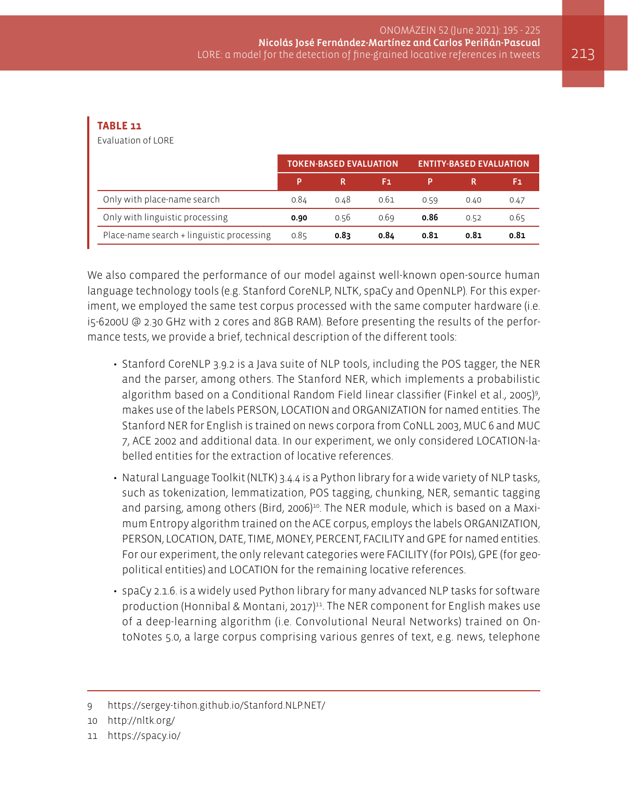#### **TABLE 11**

Evaluation of LORE

|                                           | <b>TOKEN-BASED EVALUATION.</b> |      |      | <b>ENTITY-BASED EVALUATION</b> |      |      |
|-------------------------------------------|--------------------------------|------|------|--------------------------------|------|------|
|                                           | p                              |      | F1   |                                |      | F1.  |
| Only with place-name search               | 0.84                           | 0.48 | 0.61 | 0.59                           | 0.40 | 0.47 |
| Only with linguistic processing           | 0.90                           | 0.56 | 0.69 | 0.86                           | 0.52 | 0.65 |
| Place-name search + linguistic processing | 0.85                           | 0.83 | 0.84 | 0.81                           | 0.81 | 0.81 |

We also compared the performance of our model against well-known open-source human language technology tools (e.g. Stanford CoreNLP, NLTK, spaCy and OpenNLP). For this experiment, we employed the same test corpus processed with the same computer hardware (i.e. i5-6200U @ 2.30 GHz with 2 cores and 8GB RAM). Before presenting the results of the performance tests, we provide a brief, technical description of the different tools:

- Stanford CoreNLP 3.9.2 is a Java suite of NLP tools, including the POS tagger, the NER and the parser, among others. The Stanford NER, which implements a probabilistic algorithm based on a Conditional Random Field linear classifier (Finkel et al., 2005)<sup>9</sup> , makes use of the labels PERSON, LOCATION and ORGANIZATION for named entities. The Stanford NER for English is trained on news corpora from CoNLL 2003, MUC 6 and MUC 7, ACE 2002 and additional data. In our experiment, we only considered LOCATION-labelled entities for the extraction of locative references.
- Natural Language Toolkit (NLTK) 3.4.4 is a Python library for a wide variety of NLP tasks, such as tokenization, lemmatization, POS tagging, chunking, NER, semantic tagging and parsing, among others (Bird, 2006)<sup>10</sup>. The NER module, which is based on a Maximum Entropy algorithm trained on the ACE corpus, employs the labels ORGANIZATION, PERSON, LOCATION, DATE, TIME, MONEY, PERCENT, FACILITY and GPE for named entities. For our experiment, the only relevant categories were FACILITY (for POIs), GPE (for geopolitical entities) and LOCATION for the remaining locative references.
- spaCy 2.1.6. is a widely used Python library for many advanced NLP tasks for software production (Honnibal & Montani, 2017)<sup>11</sup>. The NER component for English makes use of a deep-learning algorithm (i.e. Convolutional Neural Networks) trained on OntoNotes 5.0, a large corpus comprising various genres of text, e.g. news, telephone

<sup>9</sup> <https://sergey-tihon.github.io/Stanford.NLP.NET/>

<sup>10</sup> <http://nltk.org/>

<sup>11</sup> <https://spacy.io/>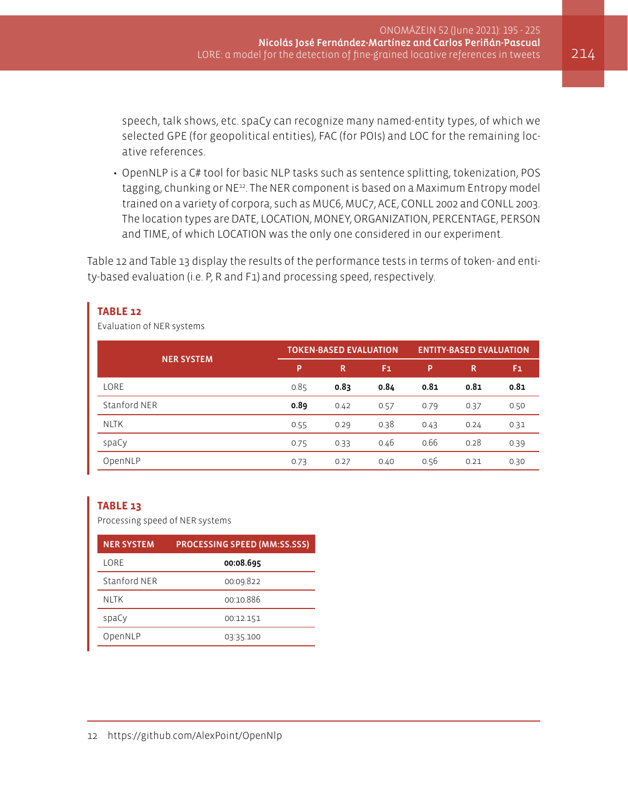speech, talk shows, etc. spaCy can recognize many named-entity types, of which we selected GPE (for geopolitical entities), FAC (for POIs) and LOC for the remaining locative references.

• OpenNLP is a C# tool for basic NLP tasks such as sentence splitting, tokenization, POS tagging, chunking or NE12. The NER component is based on a Maximum Entropy model trained on a variety of corpora, such as MUC6, MUC7, ACE, CONLL 2002 and CONLL 2003. The location types are DATE, LOCATION, MONEY, ORGANIZATION, PERCENTAGE, PERSON and TIME, of which LOCATION was the only one considered in our experiment.

Table 12 and Table 13 display the results of the performance tests in terms of token- and entity-based evaluation (i.e. P, R and F1) and processing speed, respectively.

| Evaluation of NER systems |                               |      |      |                                |      |      |  |
|---------------------------|-------------------------------|------|------|--------------------------------|------|------|--|
|                           | <b>TOKEN-BASED EVALUATION</b> |      |      | <b>ENTITY-BASED EVALUATION</b> |      |      |  |
| <b>NER SYSTEM</b>         | P                             | R    | F1   | P                              | R    | F1   |  |
| LORE                      | 0.85                          | 0.83 | 0.84 | 0.81                           | 0.81 | 0.81 |  |
| Stanford NER              | 0.89                          | 0.42 | 0.57 | 0.79                           | 0.37 | 0.50 |  |
| <b>NLTK</b>               | 0.55                          | 0.29 | 0.38 | 0.43                           | 0.24 | 0.31 |  |
| spaCy                     | 0.75                          | 0.33 | 0.46 | 0.66                           | 0.28 | 0.39 |  |
| OpenNLP                   | 0.73                          | 0.27 | 0.40 | 0.56                           | 0.21 | 0.30 |  |

#### **TABLE 12**

Evaluation of NER systems

#### **TABLE 13**

Processing speed of NER systems

| <b>NER SYSTEM</b> | <b>PROCESSING SPEED (MM:SS.SSS)</b> |
|-------------------|-------------------------------------|
| LORE              | 00:08.695                           |
| Stanford NFR      | 00:09.822                           |
| NI TK             | 00:10.886                           |
| spaCy             | 00:12.151                           |
| OpenNLP           | 03:35.100                           |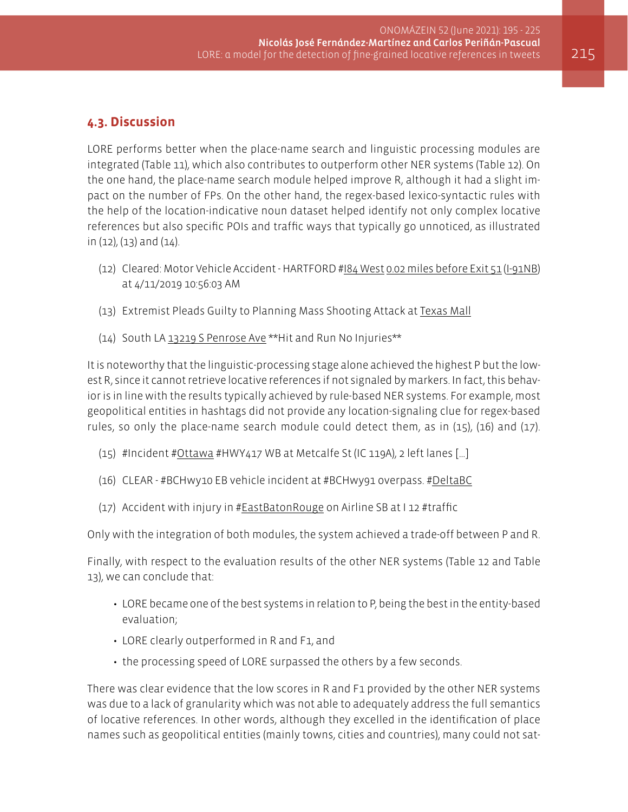# **4.3. Discussion**

LORE performs better when the place-name search and linguistic processing modules are integrated (Table 11), which also contributes to outperform other NER systems (Table 12). On the one hand, the place-name search module helped improve R, although it had a slight impact on the number of FPs. On the other hand, the regex-based lexico-syntactic rules with the help of the location-indicative noun dataset helped identify not only complex locative references but also specific POIs and traffic ways that typically go unnoticed, as illustrated in (12), (13) and (14).

- (12) Cleared: Motor Vehicle Accident HARTFORD #I84 West 0.02 miles before Exit 51 (I-91NB) at 4/11/2019 10:56:03 AM
- (13) Extremist Pleads Guilty to Planning Mass Shooting Attack at Texas Mall
- (14) South LA 13219 S Penrose Ave \*\*Hit and Run No Injuries\*\*

It is noteworthy that the linguistic-processing stage alone achieved the highest P but the lowest R, since it cannot retrieve locative references if not signaled by markers. In fact, this behavior is in line with the results typically achieved by rule-based NER systems. For example, most geopolitical entities in hashtags did not provide any location-signaling clue for regex-based rules, so only the place-name search module could detect them, as in (15), (16) and (17).

- (15) #Incident #Ottawa #HWY417 WB at Metcalfe St (IC 119A), 2 left lanes […]
- (16) CLEAR #BCHwy10 EB vehicle incident at #BCHwy91 overpass. #DeltaBC
- (17) Accident with injury in #EastBatonRouge on Airline SB at I 12 #traffic

Only with the integration of both modules, the system achieved a trade-off between P and R.

Finally, with respect to the evaluation results of the other NER systems (Table 12 and Table 13), we can conclude that:

- LORE became one of the best systems in relation to P, being the best in the entity-based evaluation;
- LORE clearly outperformed in R and F1, and
- the processing speed of LORE surpassed the others by a few seconds.

There was clear evidence that the low scores in R and F1 provided by the other NER systems was due to a lack of granularity which was not able to adequately address the full semantics of locative references. In other words, although they excelled in the identification of place names such as geopolitical entities (mainly towns, cities and countries), many could not sat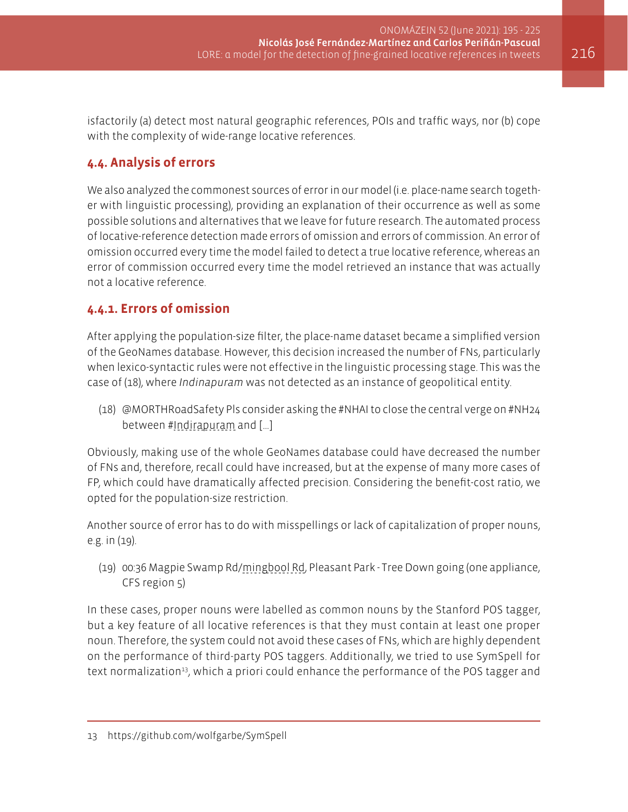isfactorily (a) detect most natural geographic references, POIs and traffic ways, nor (b) cope with the complexity of wide-range locative references.

# **4.4. Analysis of errors**

We also analyzed the commonest sources of error in our model (i.e. place-name search together with linguistic processing), providing an explanation of their occurrence as well as some possible solutions and alternatives that we leave for future research. The automated process of locative-reference detection made errors of omission and errors of commission. An error of omission occurred every time the model failed to detect a true locative reference, whereas an error of commission occurred every time the model retrieved an instance that was actually not a locative reference.

# **4.4.1. Errors of omission**

After applying the population-size filter, the place-name dataset became a simplified version of the GeoNames database. However, this decision increased the number of FNs, particularly when lexico-syntactic rules were not effective in the linguistic processing stage. This was the case of (18), where *Indinapuram* was not detected as an instance of geopolitical entity.

(18) @MORTHRoadSafety Pls consider asking the #NHAI to close the central verge on #NH24 between #Indirapuram and […]

Obviously, making use of the whole GeoNames database could have decreased the number of FNs and, therefore, recall could have increased, but at the expense of many more cases of FP, which could have dramatically affected precision. Considering the benefit-cost ratio, we opted for the population-size restriction.

Another source of error has to do with misspellings or lack of capitalization of proper nouns, e.g. in (19).

(19) 00:36 Magpie Swamp Rd/mingbool Rd, Pleasant Park - Tree Down going (one appliance, CFS region 5)

In these cases, proper nouns were labelled as common nouns by the Stanford POS tagger, but a key feature of all locative references is that they must contain at least one proper noun. Therefore, the system could not avoid these cases of FNs, which are highly dependent on the performance of third-party POS taggers. Additionally, we tried to use SymSpell for text normalization<sup>13</sup>, which a priori could enhance the performance of the POS tagger and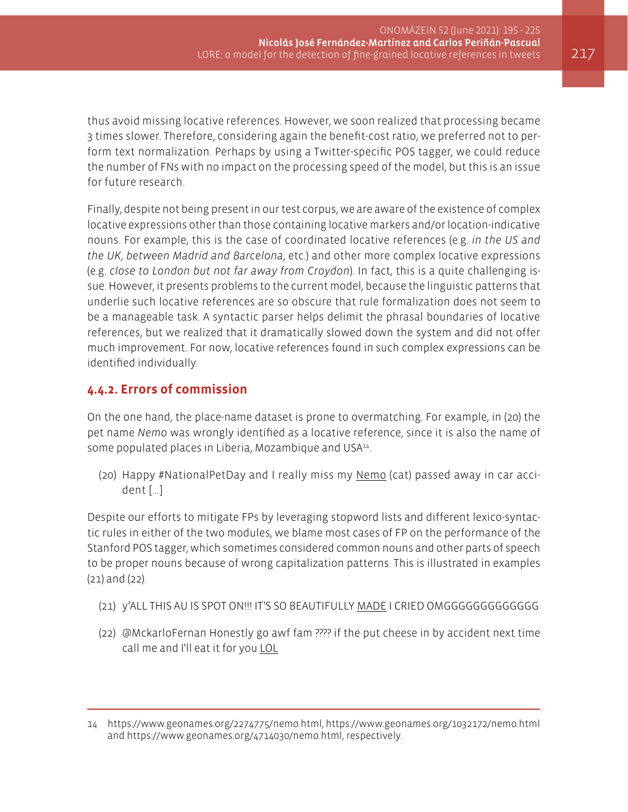thus avoid missing locative references. However, we soon realized that processing became 3 times slower. Therefore, considering again the benefit-cost ratio, we preferred not to perform text normalization. Perhaps by using a Twitter-specific POS tagger, we could reduce the number of FNs with no impact on the processing speed of the model, but this is an issue for future research.

Finally, despite not being present in our test corpus, we are aware of the existence of complex locative expressions other than those containing locative markers and/or location-indicative nouns. For example, this is the case of coordinated locative references (e.g. *in the US and the UK*, *between Madrid and Barcelona*, etc.) and other more complex locative expressions (e.g. *close to London but not far away from Croydon*). In fact, this is a quite challenging issue. However, it presents problems to the current model, because the linguistic patterns that underlie such locative references are so obscure that rule formalization does not seem to be a manageable task. A syntactic parser helps delimit the phrasal boundaries of locative references, but we realized that it dramatically slowed down the system and did not offer much improvement. For now, locative references found in such complex expressions can be identified individually.

# **4.4.2. Errors of commission**

On the one hand, the place-name dataset is prone to overmatching. For example, in (20) the pet name *Nemo* was wrongly identified as a locative reference, since it is also the name of some populated places in Liberia, Mozambique and USA<sup>14</sup>.

(20) Happy #NationalPetDay and I really miss my Nemo (cat) passed away in car accident […]

Despite our efforts to mitigate FPs by leveraging stopword lists and different lexico-syntactic rules in either of the two modules, we blame most cases of FP on the performance of the Stanford POS tagger, which sometimes considered common nouns and other parts of speech to be proper nouns because of wrong capitalization patterns. This is illustrated in examples (21) and (22).

- (21) y'ALL THIS AU IS SPOT ON!!! IT'S SO BEAUTIFULLY MADE I CRIED OMGGGGGGGGGGGGG
- (22) @MckarloFernan Honestly go awf fam ???? if the put cheese in by accident next time call me and I'll eat it for you LOL

<sup>14</sup> <https://www.geonames.org/2274775/nemo.html>, <https://www.geonames.org/1032172/nemo.html> and [https://www.geonames.org/4714030/nemo.html,](https://www.geonames.org/4714030/nemo.html) respectively.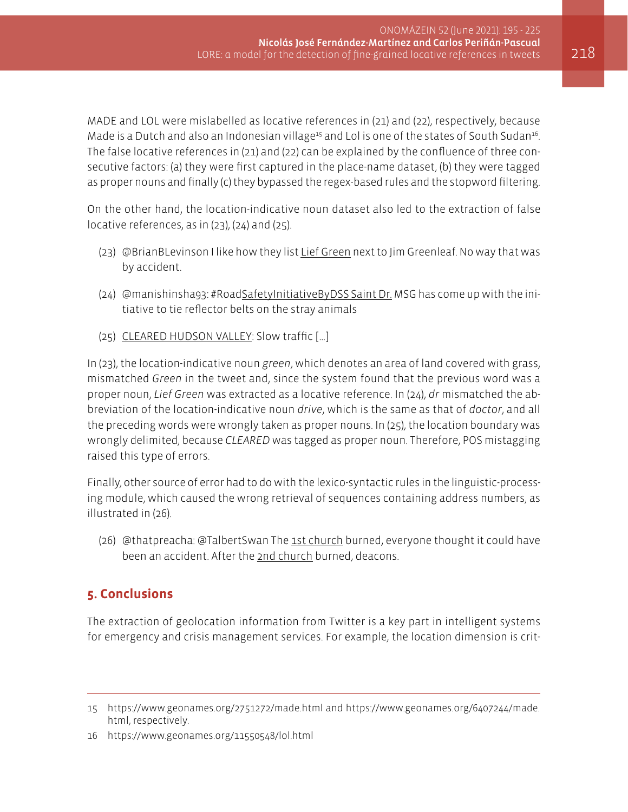MADE and LOL were mislabelled as locative references in (21) and (22), respectively, because Made is a Dutch and also an Indonesian village<sup>15</sup> and Lol is one of the states of South Sudan<sup>16</sup>. The false locative references in (21) and (22) can be explained by the confluence of three consecutive factors: (a) they were first captured in the place-name dataset, (b) they were tagged as proper nouns and finally (c) they bypassed the regex-based rules and the stopword filtering.

On the other hand, the location-indicative noun dataset also led to the extraction of false locative references, as in (23), (24) and (25).

- (23) @BrianBLevinson I like how they list Lief Green next to Jim Greenleaf. No way that was by accident.
- (24) @manishinsha93: #RoadSafetyInitiativeByDSS Saint Dr. MSG has come up with the initiative to tie reflector belts on the stray animals
- (25) CLEARED HUDSON VALLEY: Slow traffic […]

In (23), the location-indicative noun *green*, which denotes an area of land covered with grass, mismatched *Green* in the tweet and, since the system found that the previous word was a proper noun, *Lief Green* was extracted as a locative reference. In (24), *dr* mismatched the abbreviation of the location-indicative noun *drive*, which is the same as that of *doctor*, and all the preceding words were wrongly taken as proper nouns. In (25), the location boundary was wrongly delimited, because *CLEARED* was tagged as proper noun. Therefore, POS mistagging raised this type of errors.

Finally, other source of error had to do with the lexico-syntactic rules in the linguistic-processing module, which caused the wrong retrieval of sequences containing address numbers, as illustrated in (26).

(26) @thatpreacha: @TalbertSwan The 1st church burned, everyone thought it could have been an accident. After the 2nd church burned, deacons.

# **5. Conclusions**

The extraction of geolocation information from Twitter is a key part in intelligent systems for emergency and crisis management services. For example, the location dimension is crit-

<sup>15</sup> <https://www.geonames.org/2751272/made.html> and [https://www.geonames.org/6407244/made.](https://www.geonames.org/6407244/made.html) [html,](https://www.geonames.org/6407244/made.html) respectively.

<sup>16</sup> <https://www.geonames.org/11550548/lol.html>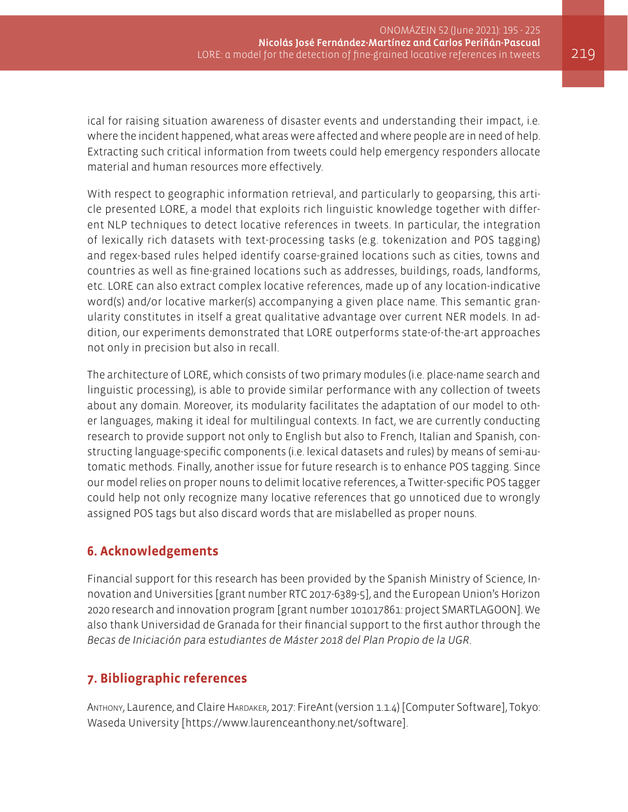ical for raising situation awareness of disaster events and understanding their impact, i.e. where the incident happened, what areas were affected and where people are in need of help. Extracting such critical information from tweets could help emergency responders allocate material and human resources more effectively.

With respect to geographic information retrieval, and particularly to geoparsing, this article presented LORE, a model that exploits rich linguistic knowledge together with different NLP techniques to detect locative references in tweets. In particular, the integration of lexically rich datasets with text-processing tasks (e.g. tokenization and POS tagging) and regex-based rules helped identify coarse-grained locations such as cities, towns and countries as well as fine-grained locations such as addresses, buildings, roads, landforms, etc. LORE can also extract complex locative references, made up of any location-indicative word(s) and/or locative marker(s) accompanying a given place name. This semantic granularity constitutes in itself a great qualitative advantage over current NER models. In addition, our experiments demonstrated that LORE outperforms state-of-the-art approaches not only in precision but also in recall.

The architecture of LORE, which consists of two primary modules (i.e. place-name search and linguistic processing), is able to provide similar performance with any collection of tweets about any domain. Moreover, its modularity facilitates the adaptation of our model to other languages, making it ideal for multilingual contexts. In fact, we are currently conducting research to provide support not only to English but also to French, Italian and Spanish, constructing language-specific components (i.e. lexical datasets and rules) by means of semi-automatic methods. Finally, another issue for future research is to enhance POS tagging. Since our model relies on proper nouns to delimit locative references, a Twitter-specific POS tagger could help not only recognize many locative references that go unnoticed due to wrongly assigned POS tags but also discard words that are mislabelled as proper nouns.

# **6. Acknowledgements**

Financial support for this research has been provided by the Spanish Ministry of Science, Innovation and Universities [grant number RTC 2017-6389-5], and the European Union's Horizon 2020 research and innovation program [grant number 101017861: project SMARTLAGOON]. We also thank Universidad de Granada for their financial support to the first author through the *Becas de Iniciación para estudiantes de Máster 2018 del Plan Propio de la UGR*.

# **7. Bibliographic references**

ANTHONY, Laurence, and Claire HARDAKER, 2017: FireAnt (version 1.1.4) [Computer Software], Tokyo: Waseda University [<https://www.laurenceanthony.net/software>].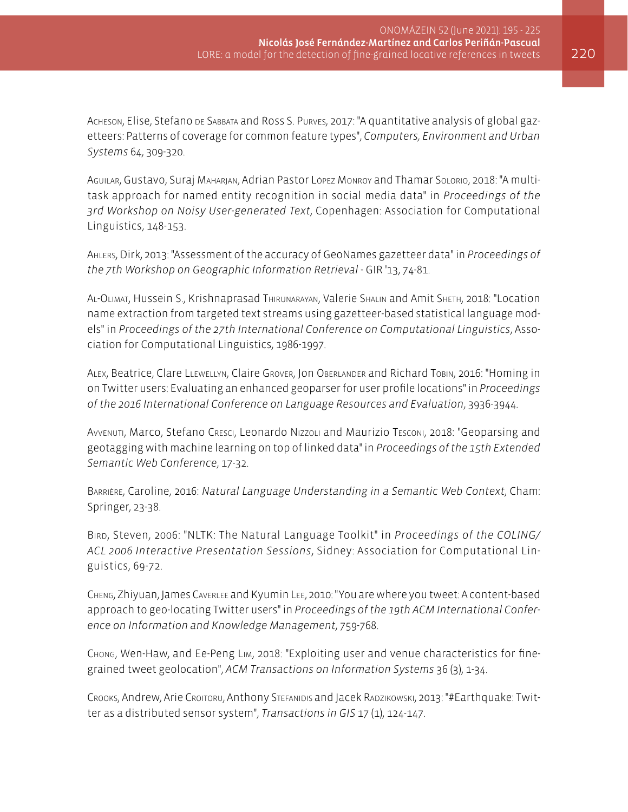Acheson, Elise, Stefano de Sabbata and Ross S. Purves, 2017: "A quantitative analysis of global gazetteers: Patterns of coverage for common feature types", *Computers, Environment and Urban Systems* 64, 309-320.

Aguilar, Gustavo, Suraj Maharjan, Adrian Pastor López Monroy and Thamar Solorio, 2018: "A multitask approach for named entity recognition in social media data" in *Proceedings of the 3rd Workshop on Noisy User-generated Text*, Copenhagen: Association for Computational Linguistics, 148-153.

Ahlers, Dirk, 2013: "Assessment of the accuracy of GeoNames gazetteer data" in *Proceedings of the 7th Workshop on Geographic Information Retrieval* - GIR '13, 74-81.

AL-OLIMAT, Hussein S., Krishnaprasad THIRUNARAYAN, Valerie SHALIN and Amit SHETH, 2018: "Location name extraction from targeted text streams using gazetteer-based statistical language models" in *Proceedings of the 27th International Conference on Computational Linguistics*, Association for Computational Linguistics, 1986-1997.

Alex, Beatrice, Clare Llewellyn, Claire Grover, Jon Oberlander and Richard Tobin, 2016: "Homing in on Twitter users: Evaluating an enhanced geoparser for user profile locations" in *Proceedings of the 2016 International Conference on Language Resources and Evaluation*, 3936-3944.

Avvenuti, Marco, Stefano Cresci, Leonardo Nizzoli and Maurizio Tesconi, 2018: "Geoparsing and geotagging with machine learning on top of linked data" in *Proceedings of the 15th Extended Semantic Web Conference*, 17-32.

Barrière, Caroline, 2016: *Natural Language Understanding in a Semantic Web Context*, Cham: Springer, 23-38.

Bird, Steven, 2006: "NLTK: The Natural Language Toolkit" in *Proceedings of the COLING/ ACL 2006 Interactive Presentation Sessions*, Sidney: Association for Computational Linguistics, 69-72.

Cheng, Zhiyuan, James Caverlee and Kyumin Lee, 2010: "You are where you tweet: A content-based approach to geo-locating Twitter users" in *Proceedings of the 19th ACM International Conference on Information and Knowledge Management*, 759-768.

Chong, Wen-Haw, and Ee-Peng Lim, 2018: "Exploiting user and venue characteristics for finegrained tweet geolocation", *ACM Transactions on Information Systems* 36 (3), 1-34.

Crooks, Andrew, Arie Croitoru, Anthony Stefanidis and Jacek Radzikowski, 2013: "#Earthquake: Twitter as a distributed sensor system", *Transactions in GIS* 17 (1), 124-147.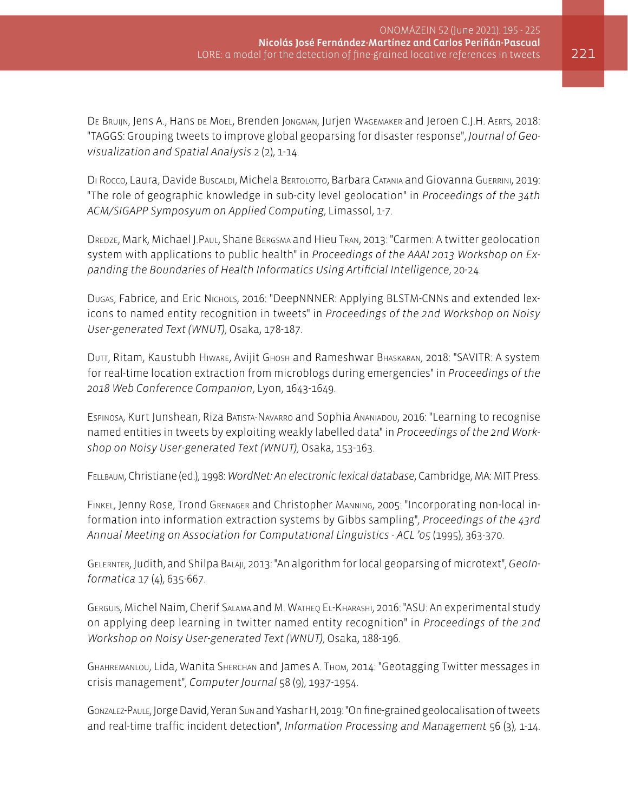DE BRUIJN, Jens A., Hans de Moel, Brenden Jongman, Jurjen Wagemaker and Jeroen C.J.H. Aerts, 2018: "TAGGS: Grouping tweets to improve global geoparsing for disaster response", *Journal of Geovisualization and Spatial Analysis* 2 (2), 1-14.

DI Rocco, Laura, Davide Buscaldi, Michela BERTOLOTTO, Barbara CATANIA and Giovanna Guerrini, 2019: "The role of geographic knowledge in sub-city level geolocation" in *Proceedings of the 34th ACM/SIGAPP Symposyum on Applied Computing*, Limassol, 1-7.

DREDZE, Mark, Michael J.Paul, Shane Bergsma and Hieu Tran, 2013: "Carmen: A twitter geolocation system with applications to public health" in *Proceedings of the AAAI 2013 Workshop on Expanding the Boundaries of Health Informatics Using Artificial Intelligence*, 20-24.

DUGAS, Fabrice, and Eric Nichols, 2016: "DeepNNNER: Applying BLSTM-CNNs and extended lexicons to named entity recognition in tweets" in *Proceedings of the 2nd Workshop on Noisy User-generated Text (WNUT)*, Osaka, 178-187.

Dutt, Ritam, Kaustubh Hiware, Avijit Ghosh and Rameshwar Bhaskaran, 2018: "SAVITR: A system for real-time location extraction from microblogs during emergencies" in *Proceedings of the 2018 Web Conference Companion*, Lyon, 1643-1649.

Espinosa, Kurt Junshean, Riza Batista-Navarro and Sophia Ananiadou, 2016: "Learning to recognise named entities in tweets by exploiting weakly labelled data" in *Proceedings of the 2nd Workshop on Noisy User-generated Text (WNUT)*, Osaka, 153-163.

Fellbaum, Christiane (ed.), 1998: *WordNet: An electronic lexical database*, Cambridge, MA: MIT Press.

Finkel, Jenny Rose, Trond Grenager and Christopher Manning, 2005: "Incorporating non-local information into information extraction systems by Gibbs sampling", *Proceedings of the 43rd Annual Meeting on Association for Computational Linguistics - ACL '05* (1995), 363-370.

Gelernter, Judith, and Shilpa Balaji, 2013: "An algorithm for local geoparsing of microtext", *GeoInformatica* 17 (4), 635-667.

Gerguis, Michel Naim, Cherif Salama and M. Watheq El-Kharashi, 2016: "ASU: An experimental study on applying deep learning in twitter named entity recognition" in *Proceedings of the 2nd Workshop on Noisy User-generated Text (WNUT)*, Osaka, 188-196.

Ghahremanlou, Lida, Wanita Sherchan and James A. Thom, 2014: "Geotagging Twitter messages in crisis management", *Computer Journal* 58 (9), 1937-1954.

Gonzalez-Paule, Jorge David, Yeran Sun and Yashar H, 2019: "On fine-grained geolocalisation of tweets and real-time traffic incident detection", *Information Processing and Management* 56 (3), 1-14.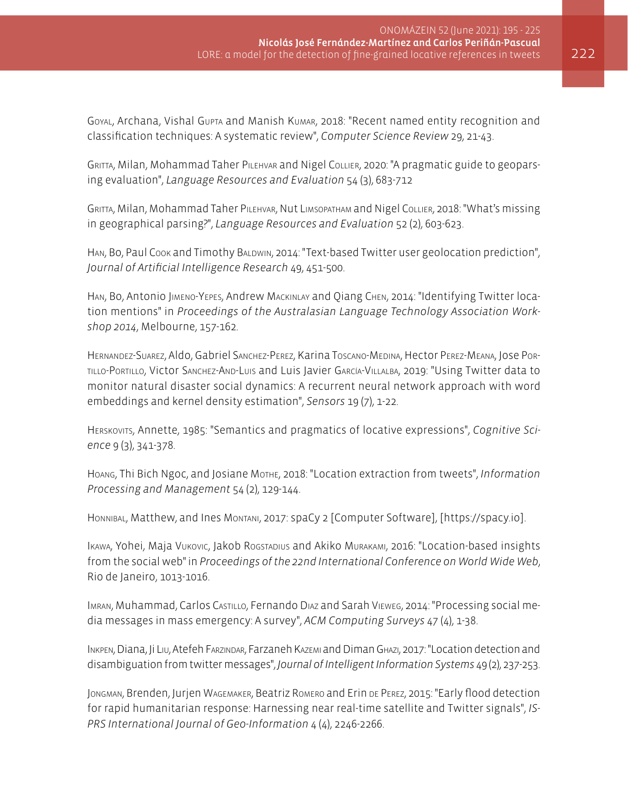Goyal, Archana, Vishal Gupta and Manish Kumar, 2018: "Recent named entity recognition and classification techniques: A systematic review", *Computer Science Review* 29, 21-43.

Gritta, Milan, Mohammad Taher Pilehvar and Nigel Collier, 2020: "A pragmatic guide to geoparsing evaluation", *Language Resources and Evaluation* 54 (3), 683-712

GRITTA, Milan, Mohammad Taher PILEHVAR, Nut LIMSOPATHAM and Nigel COLLIER, 2018: "What's missing in geographical parsing?", *Language Resources and Evaluation* 52 (2), 603-623.

HAN, Bo, Paul Cook and Timothy BALDWIN, 2014: "Text-based Twitter user geolocation prediction", *Journal of Artificial Intelligence Research* 49, 451-500.

Han, Bo, Antonio Jimeno-Yepes, Andrew Mackinlay and Qiang Chen, 2014: "Identifying Twitter location mentions" in *Proceedings of the Australasian Language Technology Association Workshop 2014*, Melbourne, 157-162.

HERNANDEZ-SUAREZ, Aldo, Gabriel SANCHEZ-PEREZ, Karina Toscano-MEDINA, Hector PEREZ-MEANA, JOSE PORtillo-Portillo, Victor Sanchez-And-Luis and Luis Javier García-Villalba, 2019: "Using Twitter data to monitor natural disaster social dynamics: A recurrent neural network approach with word embeddings and kernel density estimation", *Sensors* 19 (7), 1-22.

Herskovits, Annette, 1985: "Semantics and pragmatics of locative expressions", *Cognitive Science* 9 (3), 341-378.

Hoang, Thi Bich Ngoc, and Josiane Mothe, 2018: "Location extraction from tweets", *Information Processing and Management* 54 (2), 129-144.

Honnibal, Matthew, and Ines Montani, 2017: spaCy 2 [Computer Software], [<https://spacy.io>].

Ikawa, Yohei, Maja Vukovic, Jakob Rogstadius and Akiko Murakami, 2016: "Location-based insights from the social web" in *Proceedings of the 22nd International Conference on World Wide Web*, Rio de Janeiro, 1013-1016.

Imran, Muhammad, Carlos Castillo, Fernando Diaz and Sarah Vieweg, 2014: "Processing social media messages in mass emergency: A survey", *ACM Computing Surveys* 47 (4), 1-38.

Inkpen, Diana, Ji Liu, Atefeh Farzindar, Farzaneh Kazemi and Diman Ghazi, 2017: "Location detection and disambiguation from twitter messages", *Journal of Intelligent Information Systems* 49 (2), 237-253.

Jongman, Brenden, Jurjen Wagemaker, Beatriz Romero and Erin de Perez, 2015: "Early flood detection for rapid humanitarian response: Harnessing near real-time satellite and Twitter signals", *IS-PRS International Journal of Geo-Information* 4 (4), 2246-2266.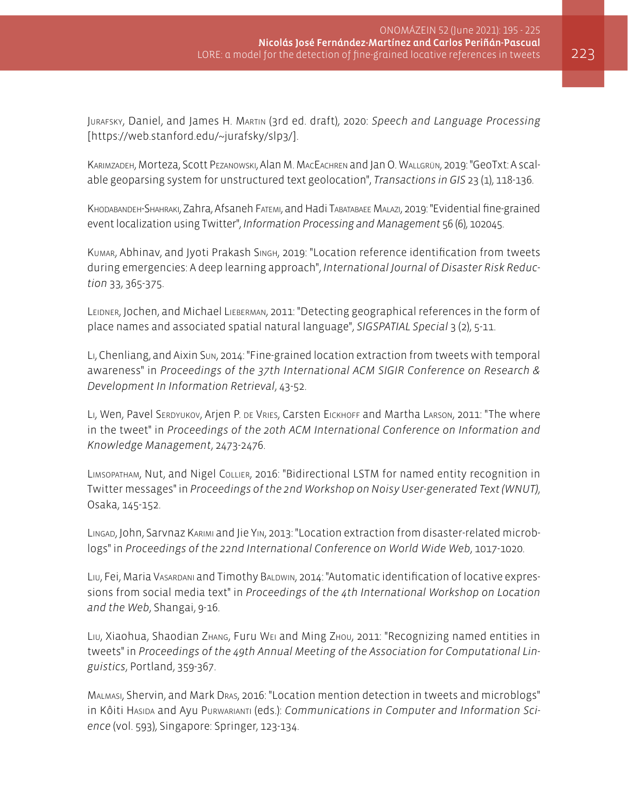Jurafsky, Daniel, and James H. Martin (3rd ed. draft), 2020: *Speech and Language Processing*  [<https://web.stanford.edu/~jurafsky/slp3/>].

Karimzadeh, Morteza, Scott Pezanowski, Alan M. MacEachren and Jan O. Wallgrün, 2019: "GeoTxt: A scalable geoparsing system for unstructured text geolocation", *Transactions in GIS* 23 (1), 118-136.

Khodabandeh-Shahraki, Zahra, Afsaneh Fatemi, and Hadi Tabatabaee Malazi, 2019: "Evidential fine-grained event localization using Twitter", *Information Processing and Management* 56 (6), 102045.

Kumar, Abhinav, and Jyoti Prakash Singh, 2019: "Location reference identification from tweets during emergencies: A deep learning approach", *International Journal of Disaster Risk Reduction* 33, 365-375.

Leidner, Jochen, and Michael Lieberman, 2011: "Detecting geographical references in the form of place names and associated spatial natural language", *SIGSPATIAL Special* 3 (2), 5-11.

Li, Chenliang, and Aixin Sun, 2014: "Fine-grained location extraction from tweets with temporal awareness" in *Proceedings of the 37th International ACM SIGIR Conference on Research & Development In Information Retrieval*, 43-52.

Li, Wen, Pavel SERDYUKOV, Arjen P. DE VRIES, Carsten EICKHOFF and Martha LARSON, 2011: "The where in the tweet" in *Proceedings of the 20th ACM International Conference on Information and Knowledge Management*, 2473-2476.

Limsopatham, Nut, and Nigel Collier, 2016: "Bidirectional LSTM for named entity recognition in Twitter messages" in *Proceedings of the 2nd Workshop on Noisy User-generated Text (WNUT)*, Osaka, 145-152.

Lingad, John, Sarvnaz Karimi and Jie Yin, 2013: "Location extraction from disaster-related microblogs" in *Proceedings of the 22nd International Conference on World Wide Web*, 1017-1020.

Liu, Fei, Maria Vasardani and Timothy Baldwin, 2014: "Automatic identification of locative expressions from social media text" in *Proceedings of the 4th International Workshop on Location and the Web*, Shangai, 9-16.

Liu, Xiaohua, Shaodian Zhang, Furu Wei and Ming Zhou, 2011: "Recognizing named entities in tweets" in *Proceedings of the 49th Annual Meeting of the Association for Computational Linguistics*, Portland, 359-367.

Malmasi, Shervin, and Mark Dras, 2016: "Location mention detection in tweets and microblogs" in Kôiti Hasida and Ayu Purwarianti (eds.): *Communications in Computer and Information Science* (vol. 593), Singapore: Springer, 123-134.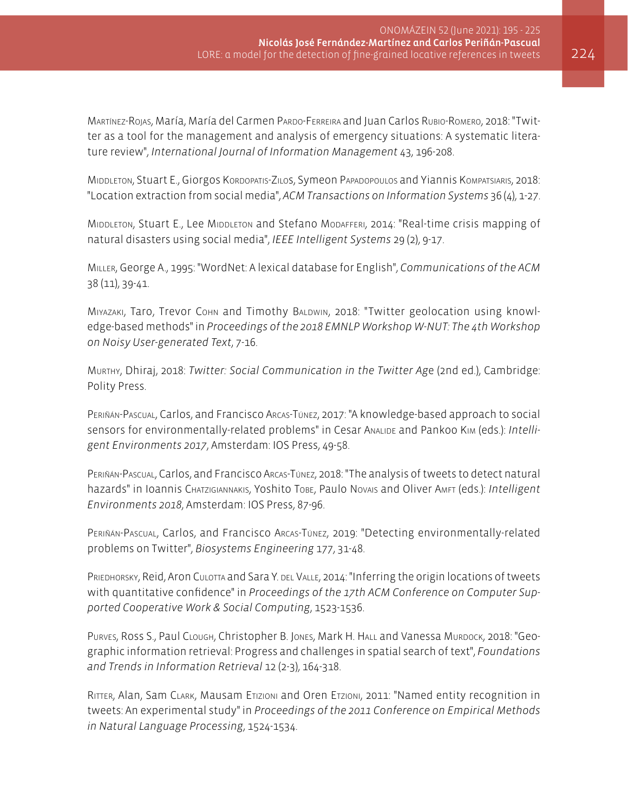Martínez-Rojas, María, María del Carmen Pardo-Ferreira and Juan Carlos Rubio-Romero, 2018: "Twitter as a tool for the management and analysis of emergency situations: A systematic literature review", *International Journal of Information Management* 43, 196-208.

MIDDLETON, Stuart E., Giorgos Kordopatis-Zilos, Symeon Papadopoulos and Yiannis Kompatsiaris, 2018: "Location extraction from social media", *ACM Transactions on Information Systems* 36 (4), 1-27.

MIDDLETON, Stuart E., Lee MIDDLETON and Stefano MODAFFERI, 2014: "Real-time crisis mapping of natural disasters using social media", *IEEE Intelligent Systems* 29 (2), 9-17.

Miller, George A., 1995: "WordNet: A lexical database for English", *Communications of the ACM*  38 (11), 39-41.

Miyazaki, Taro, Trevor Cohn and Timothy Baldwin, 2018: "Twitter geolocation using knowledge-based methods" in *Proceedings of the 2018 EMNLP Workshop W-NUT: The 4th Workshop on Noisy User-generated Text*, 7-16.

Murthy, Dhiraj, 2018: *Twitter: Social Communication in the Twitter Ag*e (2nd ed.), Cambridge: Polity Press.

Periñán-Pascual, Carlos, and Francisco Arcas-Túnez, 2017: "A knowledge-based approach to social sensors for environmentally-related problems" in Cesar Analide and Pankoo Kim (eds.): *Intelligent Environments 2017*, Amsterdam: IOS Press, 49-58.

Periñán-Pascual, Carlos, and Francisco Arcas-Túnez, 2018: "The analysis of tweets to detect natural hazards" in Ioannis Chatzigiannakis, Yoshito Tobe, Paulo Novais and Oliver Amft (eds.): *Intelligent Environments 2018*, Amsterdam: IOS Press, 87-96.

Periñán-Pascual, Carlos, and Francisco Arcas-Túnez, 2019: "Detecting environmentally-related problems on Twitter", *Biosystems Engineering* 177, 31-48.

PRIEDHORSKY, Reid, Aron CULOTTA and Sara Y. DEL VALLE, 2014: "Inferring the origin locations of tweets with quantitative confidence" in *Proceedings of the 17th ACM Conference on Computer Supported Cooperative Work & Social Computing*, 1523-1536.

PURVES, ROSS S., Paul CLOUGH, Christopher B. JONES, Mark H. HALL and Vanessa MURDOCK, 2018: "Geographic information retrieval: Progress and challenges in spatial search of text", *Foundations and Trends in Information Retrieval* 12 (2-3), 164-318.

Ritter, Alan, Sam Clark, Mausam Etizioni and Oren Etzioni, 2011: "Named entity recognition in tweets: An experimental study" in *Proceedings of the 2011 Conference on Empirical Methods in Natural Language Processing*, 1524-1534.